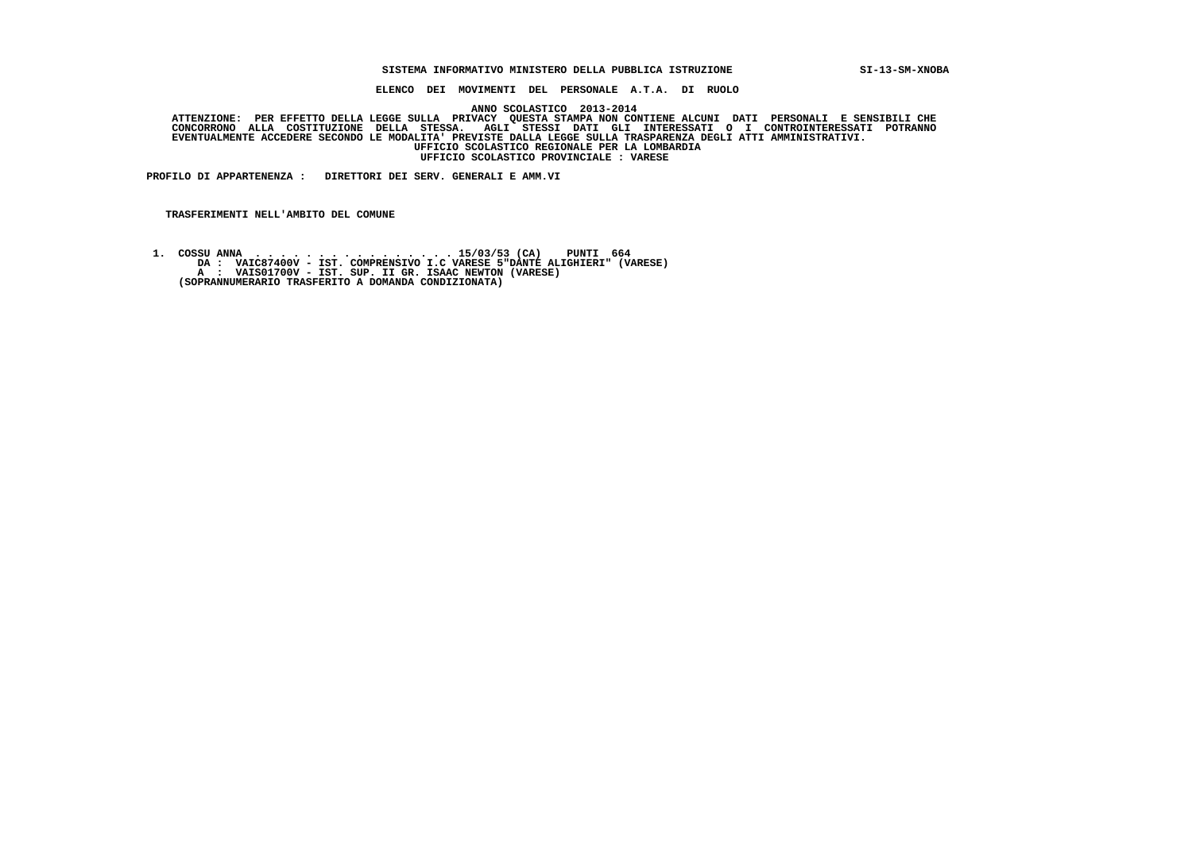## **SISTEMA INFORMATIVO MINISTERO DELLA PUBBLICA ISTRUZIONE SI-13-SM-XNOBA**

 **ELENCO DEI MOVIMENTI DEL PERSONALE A.T.A. DI RUOLO**

 **ANNO SCOLASTICO 2013-2014**

ATTENZIONE: PER EFFETTO DELLA LEGGE SULLA PRIVACY QUESTA STAMPA NON CONTIENE ALCUNI DATI PERSONALI E SENSIBILI<br>CONCORRONO ALLA COSTITUZIONE DELLA STESSA. AGLI STESSI DATI GLI INTERESSATI O I CONTROINTERESSATI POTRANNO  **EVENTUALMENTE ACCEDERE SECONDO LE MODALITA' PREVISTE DALLA LEGGE SULLA TRASPARENZA DEGLI ATTI AMMINISTRATIVI. UFFICIO SCOLASTICO REGIONALE PER LA LOMBARDIA UFFICIO SCOLASTICO PROVINCIALE : VARESE**

 **PROFILO DI APPARTENENZA : DIRETTORI DEI SERV. GENERALI E AMM.VI**

 **TRASFERIMENTI NELL'AMBITO DEL COMUNE**

 **1. COSSU ANNA . . . . . . . . . . . . . . . . 15/03/53 (CA) PUNTI 664 DA : VAIC87400V - IST. COMPRENSIVO I.C VARESE 5"DANTE ALIGHIERI" (VARESE) A : VAIS01700V - IST. SUP. II GR. ISAAC NEWTON (VARESE) (SOPRANNUMERARIO TRASFERITO A DOMANDA CONDIZIONATA)**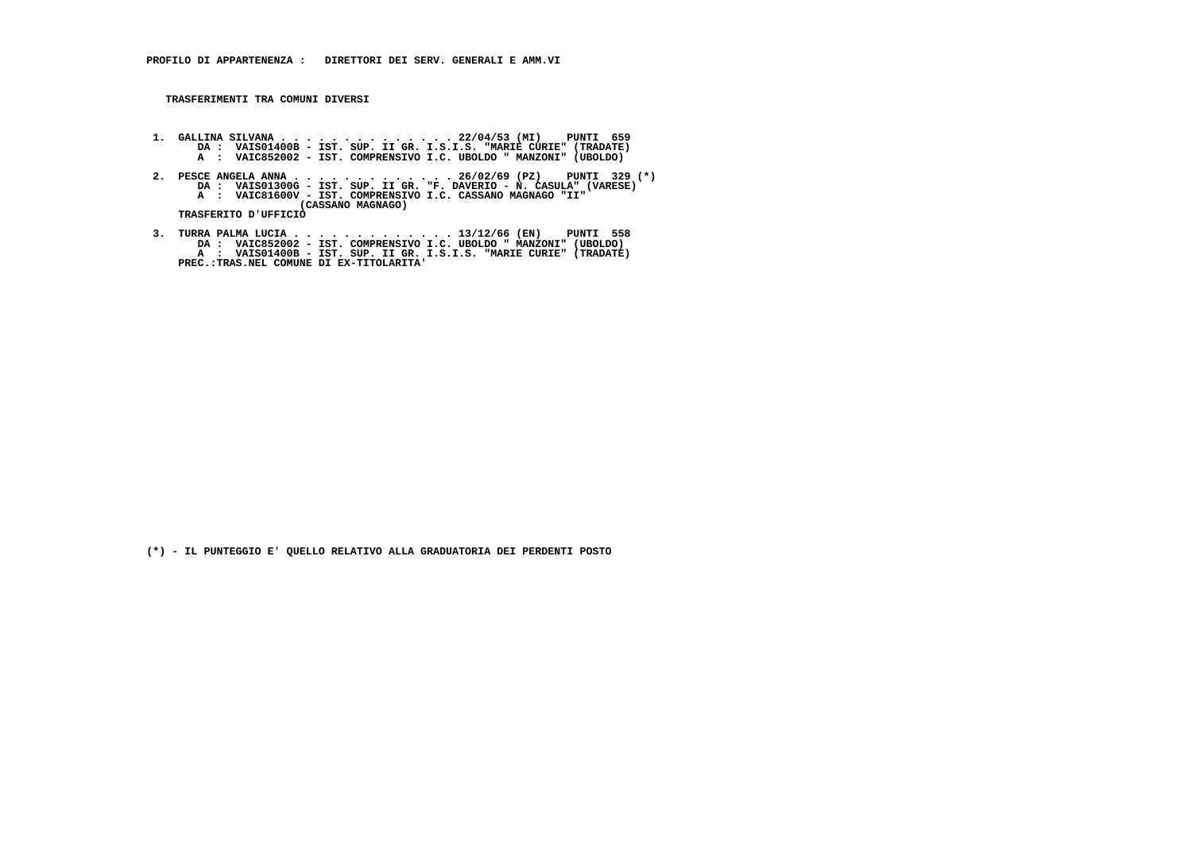- 1. GALLINA SILVANA . . . . . . . . . . . . . 22/04/53 (MI) PUNTI 659<br>DA : VAISO1400B IST. SUP. II GR. I.S.I.S. "MARIE CURIE" (TRADATE)<br>A : VAIC852002 IST. COMPRENSIVO I.C. UBOLDO " MANZONI" (UBOLDO)
- 2. PESCE ANGELA ANNA . . . . . . . . . . . . . . 26/02/69 (PZ) PUNTI 329 (\*)<br>DA : VAISO1300G IST. SUP. II GR. "F. DAVERIO N. CASULA" (VARESE)<br>A : VAIC81600V IST. COMPRENSIVO I.C. CASSANO MAGNAGO "II"  **(CASSANO MAGNAGO) TRASFERITO D'UFFICIO**
- 3. TURRA PALMA LUCIA . . . . . . . . . . . . . 13/12/66 (EN) PUNTI 558<br>DA : VAIC852002 IST. COMPRENSIVO I.C. UBOLDO " MANZONI" (UBOLDO)<br>A : VAIS01400B IST. SUP. II GR. I.S.I.S. "MARIE CURIE" (TRADATE)<br>PREC.:TRAS.NEL CO

 **(\*) - IL PUNTEGGIO E' QUELLO RELATIVO ALLA GRADUATORIA DEI PERDENTI POSTO**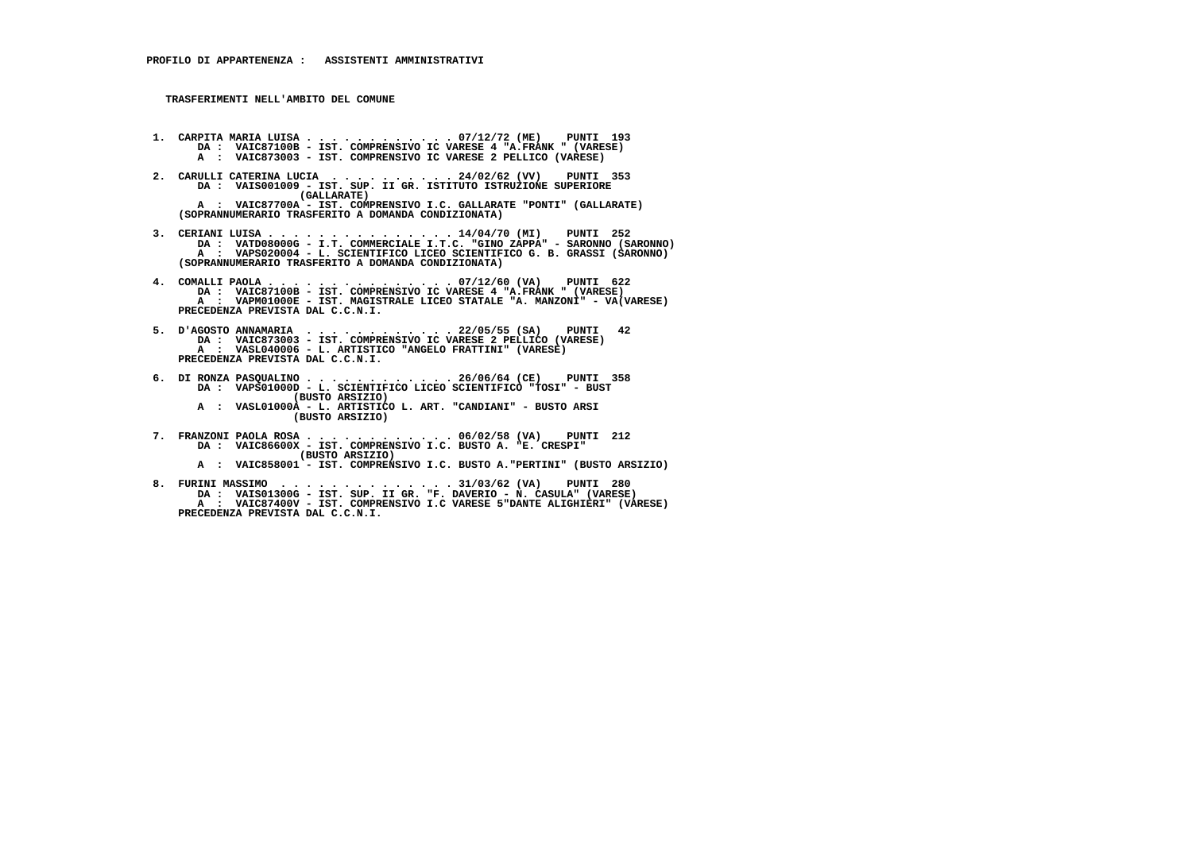- **1. CARPITA MARIA LUISA . . . . . . . . . . . . 07/12/72 (ME) PUNTI 193 DA : VAIC87100B IST. COMPRENSIVO IC VARESE 4 "A.FRANK " (VARESE) A : VAIC873003 - IST. COMPRENSIVO IC VARESE 2 PELLICO (VARESE)**
- **2. CARULLI CATERINA LUCIA . . . . . . . . . . 24/02/62 (VV) PUNTI 353 DA : VAIS001009 - IST. SUP. II GR. ISTITUTO ISTRUZIONE SUPERIORE (GALLARATE) A : VAIC87700A - IST. COMPRENSIVO I.C. GALLARATE "PONTI" (GALLARATE) (SOPRANNUMERARIO TRASFERITO A DOMANDA CONDIZIONATA)**
- **3. CERIANI LUISA . . . . . . . . . . . . . . . 14/04/70 (MI) PUNTI 252 DA : VATD08000G - I.T. COMMERCIALE I.T.C. "GINO ZAPPA" - SARONNO (SARONNO) A : VAPS020004 - L. SCIENTIFICO LICEO SCIENTIFICO G. B. GRASSI (SARONNO) (SOPRANNUMERARIO TRASFERITO A DOMANDA CONDIZIONATA)**
- **4. COMALLI PAOLA . . . . . . . . . . . . . . . 07/12/60 (VA) PUNTI 622 DA : VAIC87100B IST. COMPRENSIVO IC VARESE 4 "A.FRANK " (VARESE) A : VAPM01000E - IST. MAGISTRALE LICEO STATALE "A. MANZONI" - VA(VARESE) PRECEDENZA PREVISTA DAL C.C.N.I.**
- **5. D'AGOSTO ANNAMARIA . . . . . . . . . . . . 22/05/55 (SA) PUNTI 42 DA : VAIC873003 IST. COMPRENSIVO IC VARESE 2 PELLICO (VARESE) A : VASL040006 - L. ARTISTICO "ANGELO FRATTINI" (VARESE) PRECEDENZA PREVISTA DAL C.C.N.I.**
- **6. DI RONZA PASQUALINO . . . . . . . . . . . . 26/06/64 (CE) PUNTI 358 DA : VAPS01000D L. SCIENTIFICO LICEO SCIENTIFICO "TOSI" BUST (BUSTO ARSIZIO) A : VASL01000A - L. ARTISTICO L. ART. "CANDIANI" - BUSTO ARSI (BUSTO ARSIZIO)**
- **7. FRANZONI PAOLA ROSA . . . . . . . . . . . . 06/02/58 (VA) PUNTI 212 DA : VAIC86600X - IST. COMPRENSIVO I.C. BUSTO A. "E. CRESPI" (BUSTO ARSIZIO) A : VAIC858001 - IST. COMPRENSIVO I.C. BUSTO A."PERTINI" (BUSTO ARSIZIO)**
- **8. FURINI MASSIMO . . . . . . . . . . . . . . 31/03/62 (VA) PUNTI 280 DA : VAIS01300G IST. SUP. II GR. "F. DAVERIO N. CASULA" (VARESE)**
- **A : VAIC87400V IST. COMPRENSIVO I.C VARESE 5"DANTE ALIGHIERI" (VARESE) PRECEDENZA PREVISTA DAL C.C.N.I.**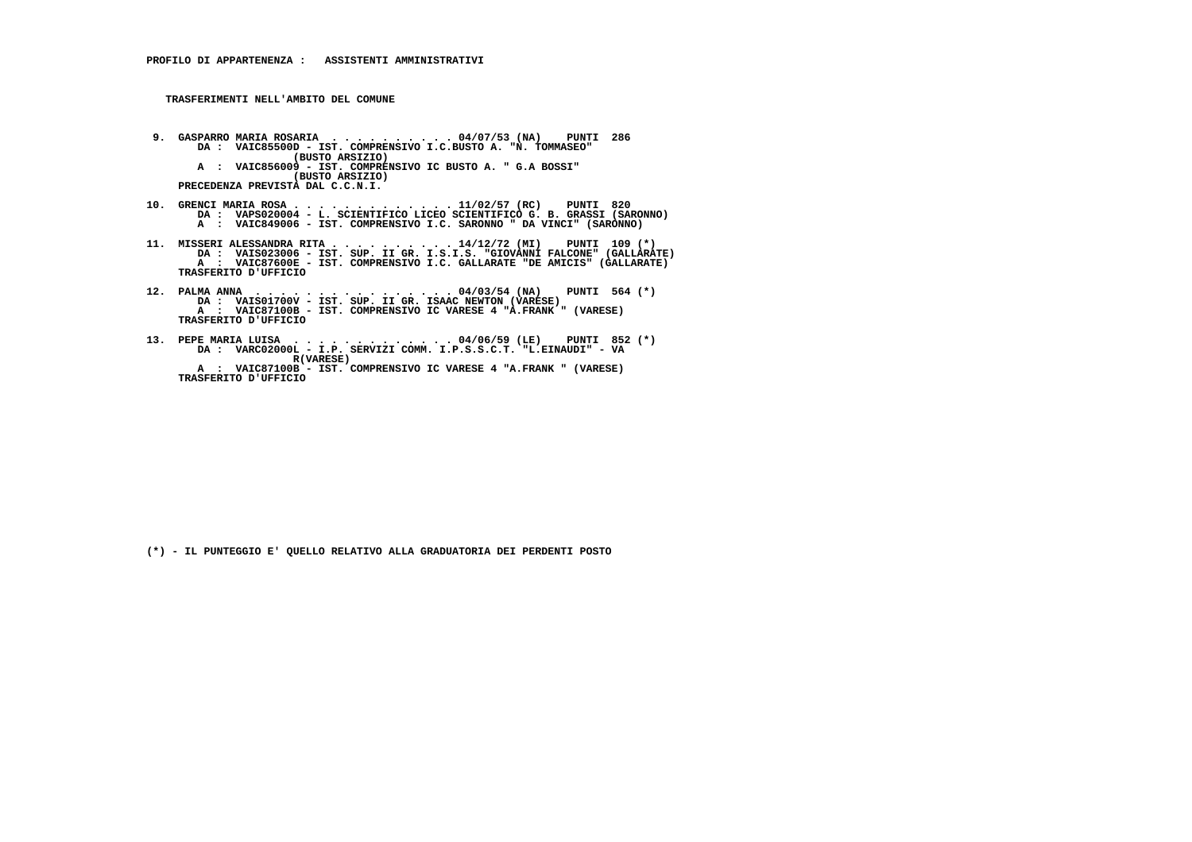- **9. GASPARRO MARIA ROSARIA . . . . . . . . . . 04/07/53 (NA) PUNTI 286 DA : VAIC85500D IST. COMPRENSIVO I.C.BUSTO A. "N. TOMMASEO" (BUSTO ARSIZIO) A : VAIC856009 - IST. COMPRENSIVO IC BUSTO A. " G.A BOSSI" (BUSTO ARSIZIO) PRECEDENZA PREVISTA DAL C.C.N.I.**
- **10. GRENCI MARIA ROSA . . . . . . . . . . . . . 11/02/57 (RC) PUNTI 820 DA : VAPS020004 L. SCIENTIFICO LICEO SCIENTIFICO G. B. GRASSI (SARONNO) A : VAIC849006 - IST. COMPRENSIVO I.C. SARONNO " DA VINCI" (SARONNO)**
- 11. MISSERI ALESSANDRA RITA . . . . . . . . . 14/12/72 (MI) PUNTI 109 (\*)<br>DA : VAIS023006 IST. SUP. II GR. I.S.I.S. "GIOVANNI FALCONE" (GALLARATE)<br>A : VAIC87600E IST. COMPRENSIVO I.C. GALLARATE "DE AMICIS" (GALL  **TRASFERITO D'UFFICIO**
- **12. PALMA ANNA . . . . . . . . . . . . . . . . 04/03/54 (NA) PUNTI 564 (\*) DA : VAIS01700V IST. SUP. II GR. ISAAC NEWTON (VARESE) A : VAIC87100B - IST. COMPRENSIVO IC VARESE 4 "A.FRANK " (VARESE) TRASFERITO D'UFFICIO**
- **13. PEPE MARIA LUISA . . . . . . . . . . . . . 04/06/59 (LE) PUNTI 852 (\*) DA : VARC02000L I.P. SERVIZI COMM. I.P.S.S.C.T. "L.EINAUDI" VA R(VARESE) A : VAIC87100B - IST. COMPRENSIVO IC VARESE 4 "A.FRANK " (VARESE) TRASFERITO D'UFFICIO**

 **(\*) - IL PUNTEGGIO E' QUELLO RELATIVO ALLA GRADUATORIA DEI PERDENTI POSTO**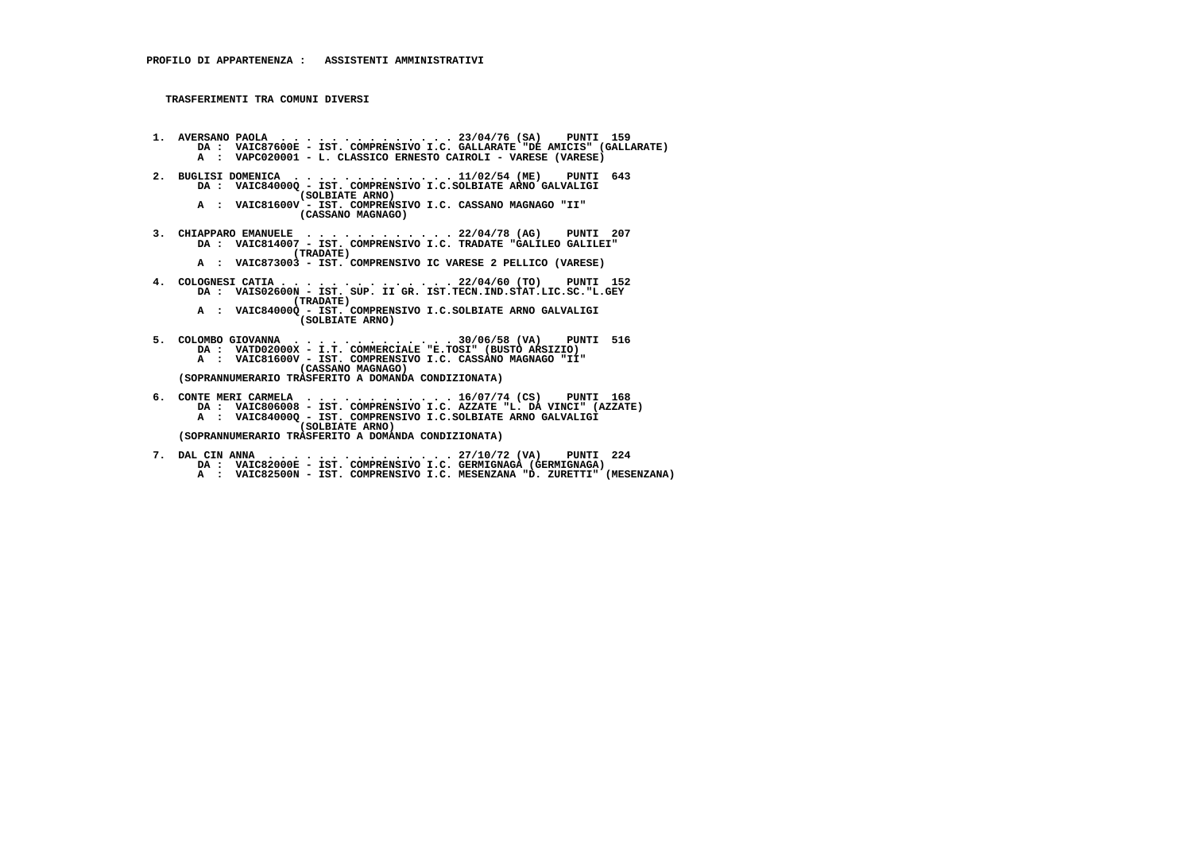- **1. AVERSANO PAOLA . . . . . . . . . . . . . . 23/04/76 (SA) PUNTI 159 DA : VAIC87600E IST. COMPRENSIVO I.C. GALLARATE "DE AMICIS" (GALLARATE) A : VAPC020001 - L. CLASSICO ERNESTO CAIROLI - VARESE (VARESE)**
	- **2. BUGLISI DOMENICA . . . . . . . . . . . . . 11/02/54 (ME) PUNTI 643 DA : VAIC84000Q - IST. COMPRENSIVO I.C.SOLBIATE ARNO GALVALIGI (SOLBIATE ARNO)**
- **A : VAIC81600V IST. COMPRENSIVO I.C. CASSANO MAGNAGO "II" (CASSANO MAGNAGO)**
- **3. CHIAPPARO EMANUELE . . . . . . . . . . . . 22/04/78 (AG) PUNTI 207 DA : VAIC814007 IST. COMPRENSIVO I.C. TRADATE "GALILEO GALILEI" (TRADATE)**
- **A : VAIC873003 IST. COMPRENSIVO IC VARESE 2 PELLICO (VARESE)**
- **4. COLOGNESI CATIA . . . . . . . . . . . . . . 22/04/60 (TO) PUNTI 152 DA : VAIS02600N IST. SUP. II GR. IST.TECN.IND.STAT.LIC.SC."L.GEY (TRADATE)**
- **A : VAIC84000Q IST. COMPRENSIVO I.C.SOLBIATE ARNO GALVALIGI (SOLBIATE ARNO)**
- **5. COLOMBO GIOVANNA . . . . . . . . . . . . . 30/06/58 (VA) PUNTI 516 DA : VATD02000X I.T. COMMERCIALE "E.TOSI" (BUSTO ARSIZIO) A : VAIC81600V - IST. COMPRENSIVO I.C. CASSANO MAGNAGO "II" (CASSANO MAGNAGO) (SOPRANNUMERARIO TRASFERITO A DOMANDA CONDIZIONATA)**

 **6. CONTE MERI CARMELA . . . . . . . . . . . . 16/07/74 (CS) PUNTI 168 DA : VAIC806008 - IST. COMPRENSIVO I.C. AZZATE "L. DA VINCI" (AZZATE)A : VAIC84000Q - IST. COMPRENSIVO I.C. SOLBIATE ARNO GALVALIGI (SOLBIATE ARNO) (SOPRANNUMERARIO TRASFERITO A DOMANDA CONDIZIONATA)**

- **7. DAL CIN ANNA . . . . . . . . . . . . . . . 27/10/72 (VA) PUNTI 224 DA : VAIC82000E IST. COMPRENSIVO I.C. GERMIGNAGA (GERMIGNAGA)**
- **A : VAIC82500N IST. COMPRENSIVO I.C. MESENZANA "D. ZURETTI" (MESENZANA)**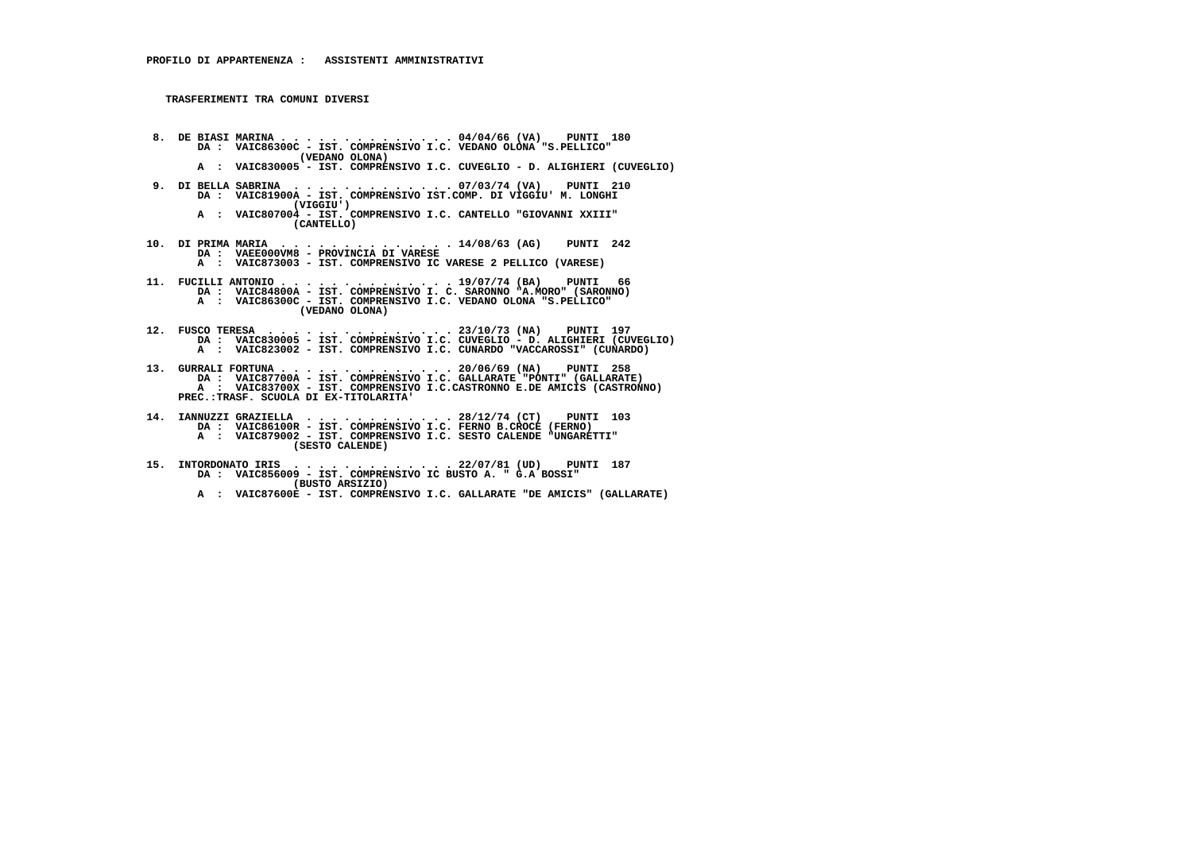**8. DE BIASI MARINA . . . . . . . . . . . . . . 04/04/66 (VA) PUNTI 180 DA : VAIC86300C - IST. COMPRENSIVO I.C. VEDANO OLONA "S.PELLICO" (VEDANO OLONA) A : VAIC830005 - IST. COMPRENSIVO I.C. CUVEGLIO - D. ALIGHIERI (CUVEGLIO)**

- **9. DI BELLA SABRINA . . . . . . . . . . . . . 07/03/74 (VA) PUNTI 210 DA : VAIC81900A - IST. COMPRENSIVO IST.COMP. DI VIGGIU' M. LONGHI (VIGGIU') A : VAIC807004 - IST. COMPRENSIVO I.C. CANTELLO "GIOVANNI XXIII"**
	- **(CANTELLO)**
- **10. DI PRIMA MARIA . . . . . . . . . . . . . . 14/08/63 (AG) PUNTI 242 DA : VAEE000VM8 PROVINCIA DI VARESE A : VAIC873003 - IST. COMPRENSIVO IC VARESE 2 PELLICO (VARESE)**
- **11. FUCILLI ANTONIO . . . . . . . . . . . . . . 19/07/74 (BA) PUNTI 66 DA : VAIC84800A IST. COMPRENSIVO I. C. SARONNO "A.MORO" (SARONNO) A : VAIC86300C - IST. COMPRENSIVO I.C. VEDANO OLONA "S.PELLICO" (VEDANO OLONA)**
- **12. FUSCO TERESA . . . . . . . . . . . . . . . 23/10/73 (NA) PUNTI 197 DA : VAIC830005 IST. COMPRENSIVO I.C. CUVEGLIO D. ALIGHIERI (CUVEGLIO) A : VAIC823002 - IST. COMPRENSIVO I.C. CUNARDO "VACCAROSSI" (CUNARDO)**
- **13. GURRALI FORTUNA . . . . . . . . . . . . . . 20/06/69 (NA) PUNTI 258 DA : VAIC87700A IST. COMPRENSIVO I.C. GALLARATE "PONTI" (GALLARATE) A : VAIC83700X - IST. COMPRENSIVO I.C.CASTRONNO E.DE AMICIS (CASTRONNO) PREC.:TRASF. SCUOLA DI EX-TITOLARITA'**
- **14. IANNUZZI GRAZIELLA . . . . . . . . . . . . 28/12/74 (CT) PUNTI 103 DA : VAIC86100R IST. COMPRENSIVO I.C. FERNO B.CROCE (FERNO) A : VAIC879002 - IST. COMPRENSIVO I.C. SESTO CALENDE "UNGARETTI" (SESTO CALENDE)**
- **15. INTORDONATO IRIS . . . . . . . . . . . . . 22/07/81 (UD) PUNTI 187 DA : VAIC856009 - IST. COMPRENSIVO IC BUSTO A. " G.A BOSSI" (BUSTO ARSIZIO) A : VAIC87600E - IST. COMPRENSIVO I.C. GALLARATE "DE AMICIS" (GALLARATE)**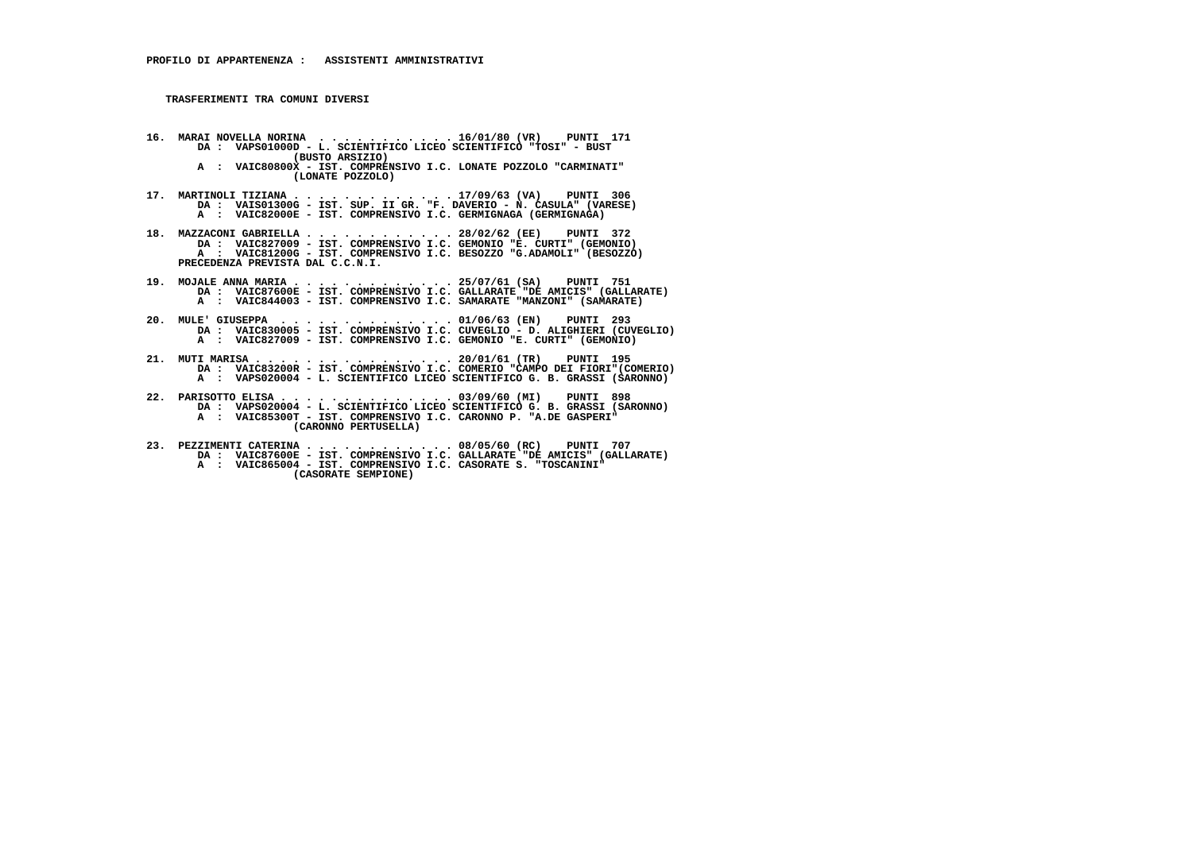- **16. MARAI NOVELLA NORINA . . . . . . . . . . . 16/01/80 (VR) PUNTI 171 DA : VAPS01000D - L. SCIENTIFICO LICEO SCIENTIFICO "TOSI" - BUST (BUSTO ARSIZIO)**
- **A : VAIC80800X IST. COMPRENSIVO I.C. LONATE POZZOLO "CARMINATI" (LONATE POZZOLO)**
- **17. MARTINOLI TIZIANA . . . . . . . . . . . . . 17/09/63 (VA) PUNTI 306 DA : VAIS01300G IST. SUP. II GR. "F. DAVERIO N. CASULA" (VARESE) A : VAIC82000E - IST. COMPRENSIVO I.C. GERMIGNAGA (GERMIGNAGA)**
- 18. MAZZACONI GABRIELLA . . . . . . . . . . . 28/02/62 (EE) PUNTI 372<br>DA : VAIC827009 IST. COMPRENSIVO I.C. GEMONIO "E. CURTI" (GEMONIO)<br>A : VAIC81200G IST. COMPRENSIVO I.C. BESOZZO "G.ADAMOLI" (BESOZZO)  **PRECEDENZA PREVISTA DAL C.C.N.I.**
- **19. MOJALE ANNA MARIA . . . . . . . . . . . . . 25/07/61 (SA) PUNTI 751 DA : VAIC87600E IST. COMPRENSIVO I.C. GALLARATE "DE AMICIS" (GALLARATE) A : VAIC844003 - IST. COMPRENSIVO I.C. SAMARATE "MANZONI" (SAMARATE)**
- **20. MULE' GIUSEPPA . . . . . . . . . . . . . . 01/06/63 (EN) PUNTI 293 DA : VAIC830005 IST. COMPRENSIVO I.C. CUVEGLIO D. ALIGHIERI (CUVEGLIO) A : VAIC827009 - IST. COMPRENSIVO I.C. GEMONIO "E. CURTI" (GEMONIO)**
- **21. MUTI MARISA . . . . . . . . . . . . . . . . 20/01/61 (TR) PUNTI 195 DA : VAIC83200R IST. COMPRENSIVO I.C. COMERIO "CAMPO DEI FIORI"(COMERIO) A : VAPS020004 - L. SCIENTIFICO LICEO SCIENTIFICO G. B. GRASSI (SARONNO)**
- **22. PARISOTTO ELISA . . . . . . . . . . . . . . 03/09/60 (MI) PUNTI 898 DA : VAPS020004 - L. SCIENTIFICO LICEO SCIENTIFICO G. B. GRASSI (SARONNO) A : VAIC85300T - IST. COMPRENSIVO I.C. CARONNO P. "A.DE GASPERI" (CARONNO PERTUSELLA)**
- **23. PEZZIMENTI CATERINA . . . . . . . . . . . . 08/05/60 (RC) PUNTI 707 DA : VAIC87600E IST. COMPRENSIVO I.C. GALLARATE "DE AMICIS" (GALLARATE) A : VAIC865004 - IST. COMPRENSIVO I.C. CASORATE S. "TOSCANINI" (CASORATE SEMPIONE)**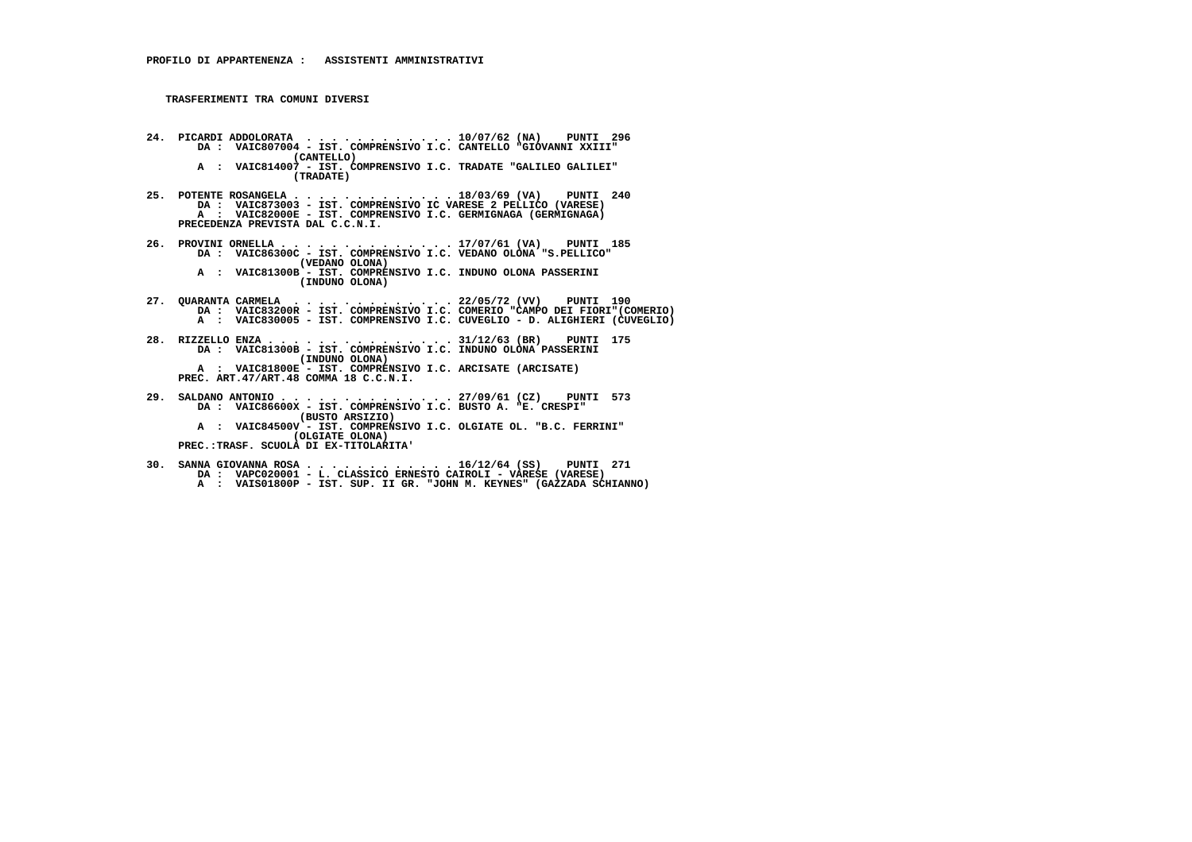- **24. PICARDI ADDOLORATA . . . . . . . . . . . . 10/07/62 (NA) PUNTI 296 DA : VAIC807004 IST. COMPRENSIVO I.C. CANTELLO "GIOVANNI XXIII" (CANTELLO) A : VAIC814007 - IST. COMPRENSIVO I.C. TRADATE "GALILEO GALILEI" (TRADATE)**
- **25. POTENTE ROSANGELA . . . . . . . . . . . . . 18/03/69 (VA) PUNTI 240 DA : VAIC873003 IST. COMPRENSIVO IC VARESE 2 PELLICO (VARESE) A : VAIC82000E - IST. COMPRENSIVO I.C. GERMIGNAGA (GERMIGNAGA) PRECEDENZA PREVISTA DAL C.C.N.I.**
- **26. PROVINI ORNELLA . . . . . . . . . . . . . . 17/07/61 (VA) PUNTI 185 DA : VAIC86300C IST. COMPRENSIVO I.C. VEDANO OLONA "S.PELLICO" (VEDANO OLONA) A : VAIC81300B - IST. COMPRENSIVO I.C. INDUNO OLONA PASSERINI (INDUNO OLONA)**
- **27. QUARANTA CARMELA . . . . . . . . . . . . . 22/05/72 (VV) PUNTI 190 DA : VAIC83200R - IST. COMPRENSIVO I.C. COMERIO "CAMPO DEI FIORI"(COMERIO) A : VAIC830005 - IST. COMPRENSIVO I.C. CUVEGLIO - D. ALIGHIERI (CUVEGLIO)**
- **28. RIZZELLO ENZA . . . . . . . . . . . . . . . 31/12/63 (BR) PUNTI 175 DA : VAIC81300B IST. COMPRENSIVO I.C. INDUNO OLONA PASSERINI (INDUNO OLONA) A : VAIC81800E - IST. COMPRENSIVO I.C. ARCISATE (ARCISATE) PREC. ART.47/ART.48 COMMA 18 C.C.N.I.**
- **29. SALDANO ANTONIO . . . . . . . . . . . . . . 27/09/61 (CZ) PUNTI 573 DA : VAIC86600X - IST. COMPRENSIVO I.C. BUSTO A. "E. CRESPI" (BUSTO ARSIZIO) A : VAIC84500V - IST. COMPRENSIVO I.C. OLGIATE OL. "B.C. FERRINI" (OLGIATE OLONA) PREC.:TRASF. SCUOLA DI EX-TITOLARITA'**
- **30. SANNA GIOVANNA ROSA . . . . . . . . . . . . 16/12/64 (SS) PUNTI 271 DA : VAPC020001 - L. CLASSICO ERNESTO CAIROLI - VARESE (VARESE) A : VAIS01800P - IST. SUP. II GR. "JOHN M. KEYNES" (GAZZADA SCHIANNO)**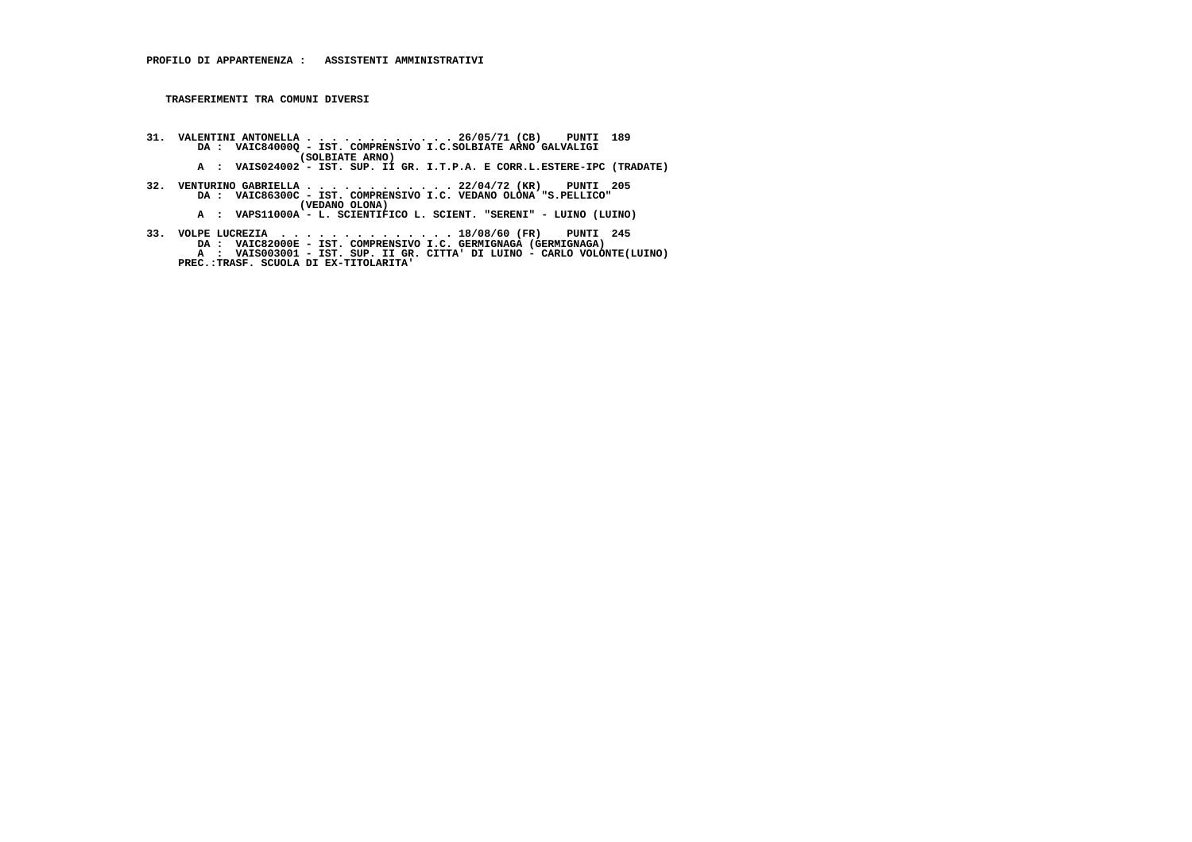- **31. VALENTINI ANTONELLA . . . . . . . . . . . . 26/05/71 (CB) PUNTI 189 DA : VAIC84000Q IST. COMPRENSIVO I.C.SOLBIATE ARNO GALVALIGI (SOLBIATE ARNO)**
- **A : VAIS024002 IST. SUP. II GR. I.T.P.A. E CORR.L.ESTERE-IPC (TRADATE)**
- **32. VENTURINO GABRIELLA . . . . . . . . . . . . 22/04/72 (KR) PUNTI 205 DA : VAIC86300C IST. COMPRENSIVO I.C. VEDANO OLONA "S.PELLICO" (VEDANO OLONA) A : VAPS11000A - L. SCIENTIFICO L. SCIENT. "SERENI" - LUINO (LUINO)**
	-
- 33. VOLPE LUCREZIA ................18/08/60 (FR) PUNTI 245<br>DA : VAIC82000E IST. COMPRENSIVO I.C. GERMIGNAGA (GERMIGNAGA)<br>A : VAIS003001 IST. SUP. II GR. CITTA' DI LUINO CARLO VOLONTE(LUINO)  **PREC.:TRASF. SCUOLA DI EX-TITOLARITA'**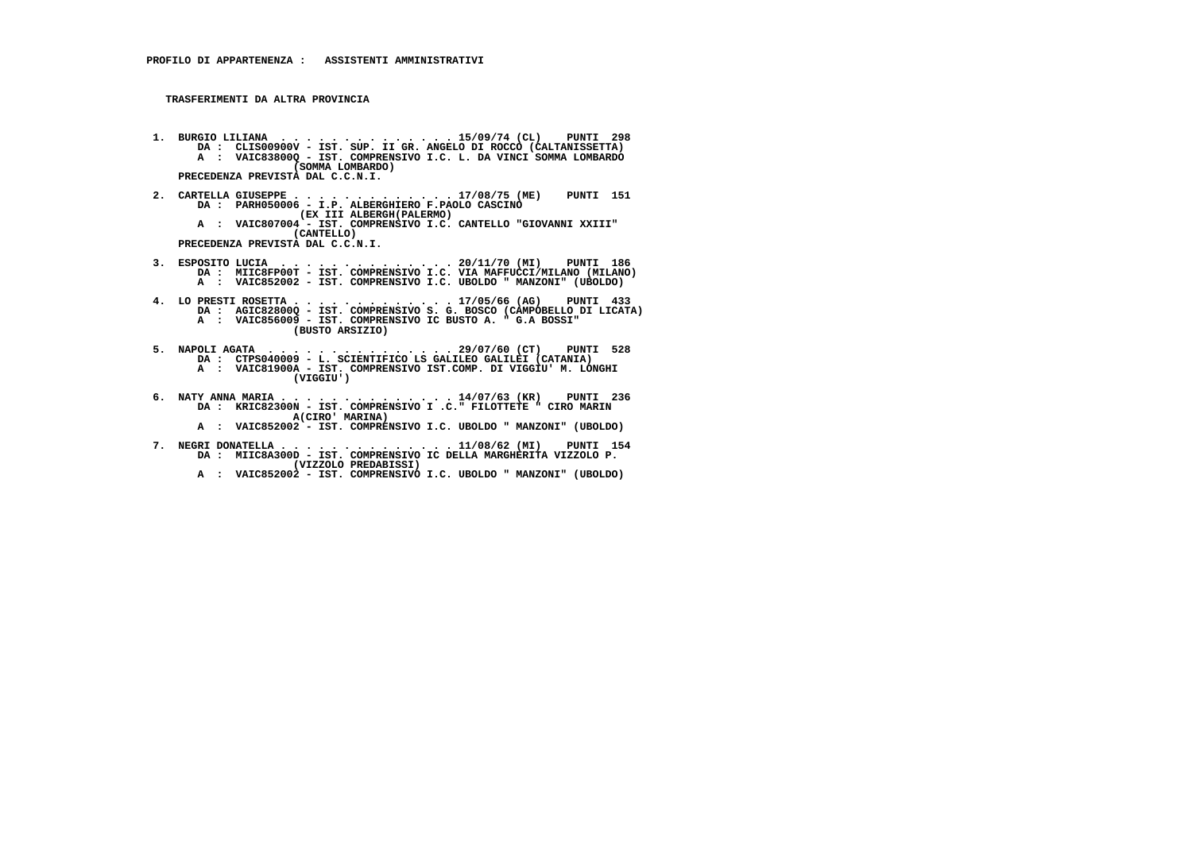**TRASFERIMENTI DA ALTRA PROVINCIA**

- **1. BURGIO LILIANA . . . . . . . . . . . . . . 15/09/74 (CL) PUNTI 298 DA : CLIS00900V IST. SUP. II GR. ANGELO DI ROCCO (CALTANISSETTA) A : VAIC83800Q - IST. COMPRENSIVO I.C. L. DA VINCI SOMMA LOMBARDO (SOMMA LOMBARDO) PRECEDENZA PREVISTA DAL C.C.N.I.**
- **2. CARTELLA GIUSEPPE . . . . . . . . . . . . . 17/08/75 (ME) PUNTI 151 DA : PARH050006 - I.P. ALBERGHIERO F.PAOLO CASCINO (EX III ALBERGH(PALERMO) A : VAIC807004 - IST. COMPRENSIVO I.C. CANTELLO "GIOVANNI XXIII" (CANTELLO) PRECEDENZA PREVISTA DAL C.C.N.I.**
- 3. ESPOSITO LUCIA ................20/11/70 (MI) PUNTI 186<br>DA : MIIC8FP00T IST. COMPRENSIVO I.C. VIA MAFFUCCI/MILANO (MILANO)<br>A : VAIC852002 IST. COMPRENSIVO I.C. UBOLDO " MANZONI" (UBOLDO)
- **4. LO PRESTI ROSETTA . . . . . . . . . . . . . 17/05/66 (AG) PUNTI 433 DA : AGIC82800Q - IST. COMPRENSIVO S. G. BOSCO (CAMPOBELLO DI LICATA) A : VAIC856009 - IST. COMPRENSIVO IC BUSTO A. " G.A BOSSI" (BUSTO ARSIZIO)**
- **5. NAPOLI AGATA . . . . . . . . . . . . . . . 29/07/60 (CT) PUNTI 528 DA : CTPS040009 - L. SCIENTIFICO LS GALILEO GALILEI (CATANIA) A : VAIC81900A - IST. COMPRENSIVO IST.COMP. DI VIGGIU' M. LONGHI (VIGGIU')**
- **6. NATY ANNA MARIA . . . . . . . . . . . . . . 14/07/63 (KR) PUNTI 236 DA : KRIC82300N IST. COMPRENSIVO I .C." FILOTTETE " CIRO MARIN A(CIRO' MARINA)**
- **A : VAIC852002 IST. COMPRENSIVO I.C. UBOLDO " MANZONI" (UBOLDO)**
- **7. NEGRI DONATELLA . . . . . . . . . . . . . . 11/08/62 (MI) PUNTI 154 DA : MIIC8A300D IST. COMPRENSIVO IC DELLA MARGHERITA VIZZOLO P. (VIZZOLO PREDABISSI)**
- **A : VAIC852002 IST. COMPRENSIVO I.C. UBOLDO " MANZONI" (UBOLDO)**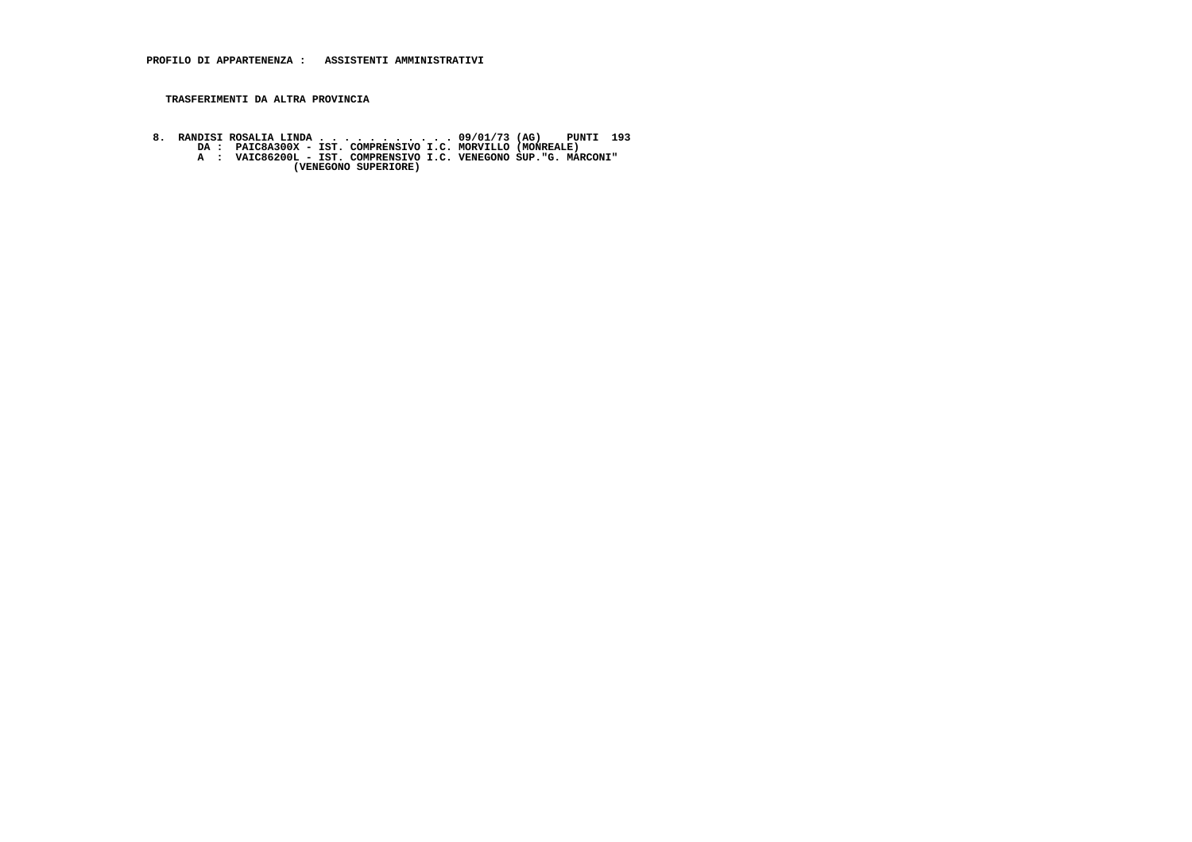## **TRASFERIMENTI DA ALTRA PROVINCIA**

8. RANDISI ROSALIA LINDA . . . . . . . . . . 09/01/73 (AG) PUNTI 193<br>DA : PAIC8A300X - IST. COMPRENSIVO I.C. MORVILLO (MONREALE)<br>A : VAIC86200L - IST. COMPRENSIVO I.C. VENEGONO SUP."G. MARCONI"<br>(VENEGONO SUPERIORE)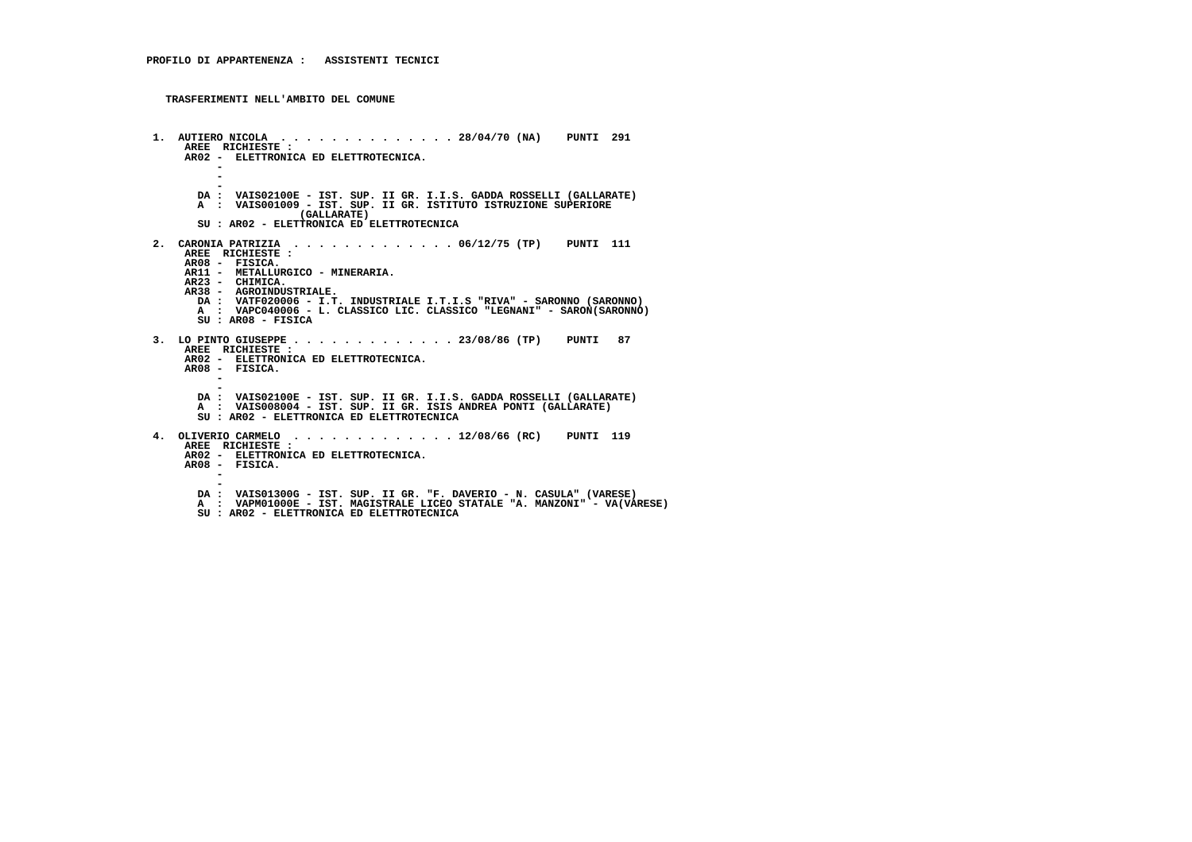```
 1. AUTIERO NICOLA . . . . . . . . . . . . . . 28/04/70 (NA) PUNTI 291 AREE RICHIESTE :
AR02 - ELETTRONICA ED ELETTROTECNICA. - - -
DA : VAIS02100E - IST. SUP. II GR. I.I.S. GADDA ROSSELLI (GALLARATE) A : VAIS001009 - IST. SUP. II GR. ISTITUTO ISTRUZIONE SUPERIORE (GALLARATE)
SU : AR02 - ELETTRONICA ED ELETTROTECNICA 2. CARONIA PATRIZIA . . . . . . . . . . . . . 06/12/75 (TP) PUNTI 111 AREE RICHIESTE : AR08 - FISICA.
AR11 - METALLURGICO - MINERARIA. AR23 - CHIMICA.
AR38 - AGROINDUSTRIALE.
DA : VATF020006 - I.T. INDUSTRIALE I.T.I.S "RIVA" - SARONNO (SARONNO)
A : VAPC040006 - L. CLASSICO LIC. CLASSICO "LEGNANI" - SARON(SARONNO) SU : AR08 - FISICA 3. LO PINTO GIUSEPPE . . . . . . . . . . . . . 23/08/86 (TP) PUNTI 87 AREE RICHIESTE :
AR02 - ELETTRONICA ED ELETTROTECNICA. AR08 - FISICA. - -
DA : VAIS02100E - IST. SUP. II GR. I.I.S. GADDA ROSSELLI (GALLARATE) A : VAIS008004 - IST. SUP. II GR. ISIS ANDREA PONTI (GALLARATE) SU : AR02 - ELETTRONICA ED ELETTROTECNICA 4. OLIVERIO CARMELO . . . . . . . . . . . . . 12/08/66 (RC) PUNTI 119 AREE RICHIESTE :
AR02 - ELETTRONICA ED ELETTROTECNICA. AR08 - FISICA. - -
DA : VAIS01300G - IST. SUP. II GR. "F. DAVERIO - N. CASULA" (VARESE)
A : VAPM01000E - IST. MAGISTRALE LICEO STATALE "A. MANZONI" - VA(VARESE) SU : AR02 - ELETTRONICA ED ELETTROTECNICA
```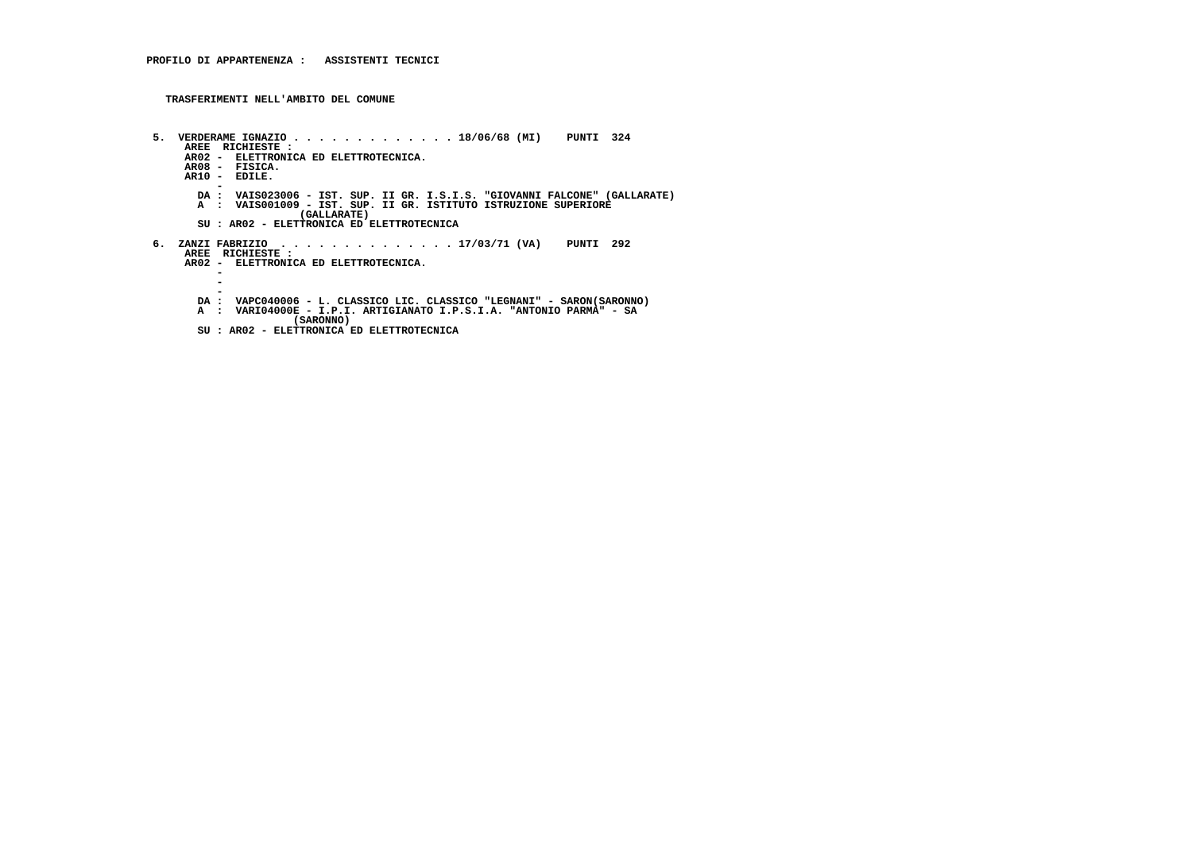```
 5. VERDERAME IGNAZIO . . . . . . . . . . . . . 18/06/68 (MI) PUNTI 324 AREE RICHIESTE :
AR02 - ELETTRONICA ED ELETTROTECNICA.
AR08 - FISICA.
AR10 - EDILE.
-
DA : VAIS023006 - IST. SUP. II GR. I.S.I.S. "GIOVANNI FALCONE" (GALLARATE)
A : VAIS001009 - IST. SUP. II GR. ISTITUTO ISTRUZIONE SUPERIORE (GALLARATE)
SU : AR02 - ELETTRONICA ED ELETTROTECNICA 6. ZANZI FABRIZIO . . . . . . . . . . . . . . 17/03/71 (VA) PUNTI 292 AREE RICHIESTE :
AR02 - ELETTRONICA ED ELETTROTECNICA. -\sim - -
DA : VAPC040006 - L. CLASSICO LIC. CLASSICO "LEGNANI" - SARON(SARONNO) A : VARI04000E - I.P.I. ARTIGIANATO I.P.S.I.A. "ANTONIO PARMA" - SA (SARONNO)
SU : AR02 - ELETTRONICA ED ELETTROTECNICA
```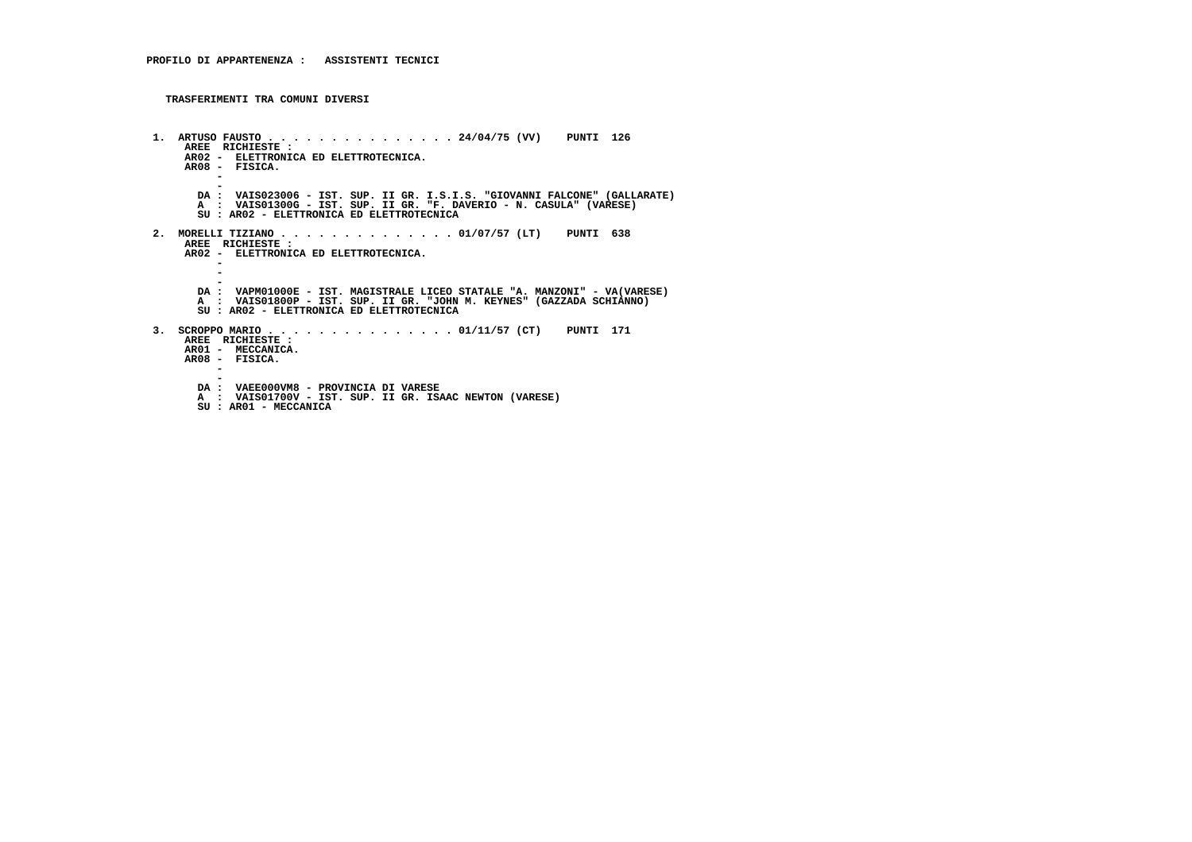```
 1. ARTUSO FAUSTO . . . . . . . . . . . . . . . 24/04/75 (VV) PUNTI 126 AREE RICHIESTE :
AR02 - ELETTRONICA ED ELETTROTECNICA.
AR08 - FISICA. -
-
DA : VAIS023006 - IST. SUP. II GR. I.S.I.S. "GIOVANNI FALCONE" (GALLARATE)
A : VAIS01300G - IST. SUP. II GR. "F. DAVERIO - N. CASULA" (VARESE) SU : AR02 - ELETTRONICA ED ELETTROTECNICA 2. MORELLI TIZIANO . . . . . . . . . . . . . . 01/07/57 (LT) PUNTI 638 AREE RICHIESTE :
AR02 - ELETTRONICA ED ELETTROTECNICA. - - -
DA : VAPM01000E - IST. MAGISTRALE LICEO STATALE "A. MANZONI" - VA(VARESE) A : VAIS01800P - IST. SUP. II GR. "JOHN M. KEYNES" (GAZZADA SCHIANNO) SU : AR02 - ELETTRONICA ED ELETTROTECNICA 3. SCROPPO MARIO . . . . . . . . . . . . . . . 01/11/57 (CT) PUNTI 171 AREE RICHIESTE :
AR01 - MECCANICA. AR08 - FISICA. - -
DA : VAEE000VM8 - PROVINCIA DI VARESE
A : VAIS01700V - IST. SUP. II GR. ISAAC NEWTON (VARESE) SU : AR01 - MECCANICA
```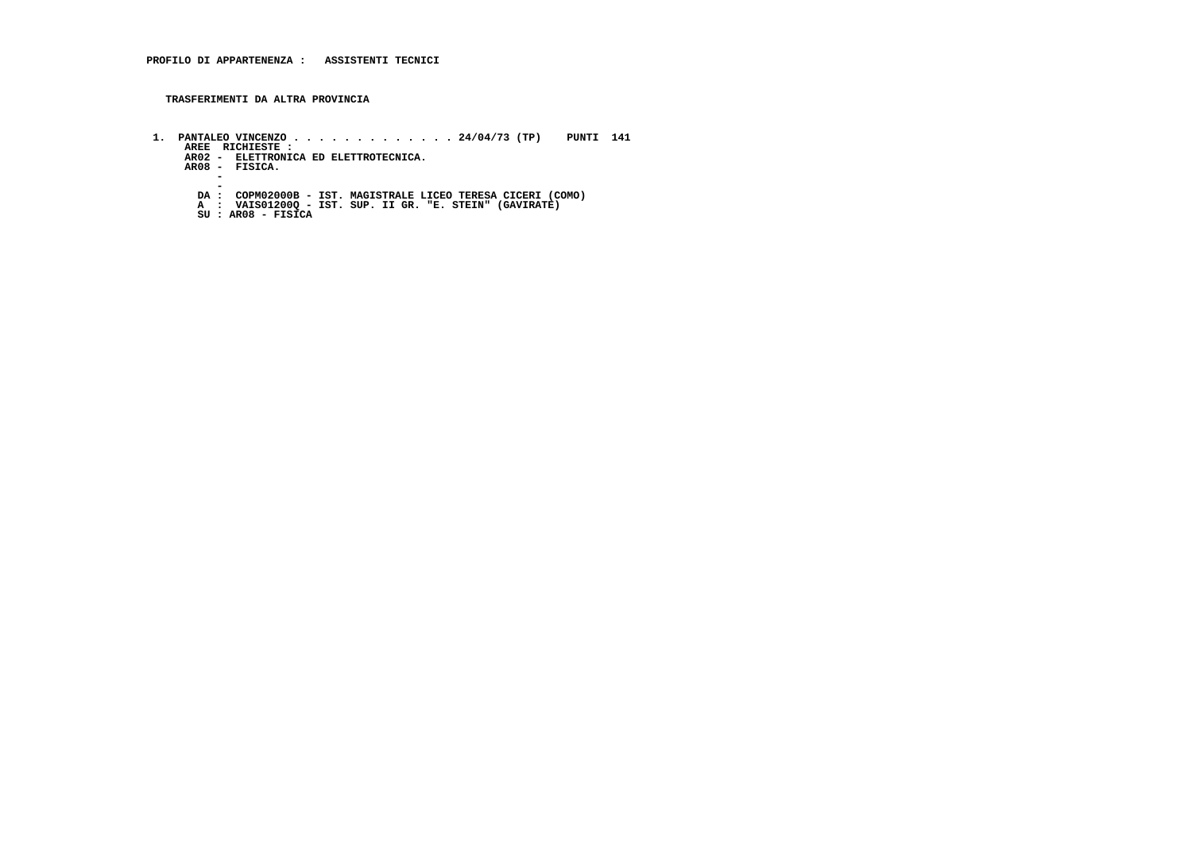**TRASFERIMENTI DA ALTRA PROVINCIA**

 **1. PANTALEO VINCENZO . . . . . . . . . . . . . 24/04/73 (TP) PUNTI 141 AREE RICHIESTE : AR02 - ELETTRONICA ED ELETTROTECNICA. AR08 - FISICA. -** $\sim$  **- DA : COPM02000B - IST. MAGISTRALE LICEO TERESA CICERI (COMO) A : VAIS01200Q - IST. SUP. II GR. "E. STEIN" (GAVIRATE) SU : AR08 - FISICA**

- 
-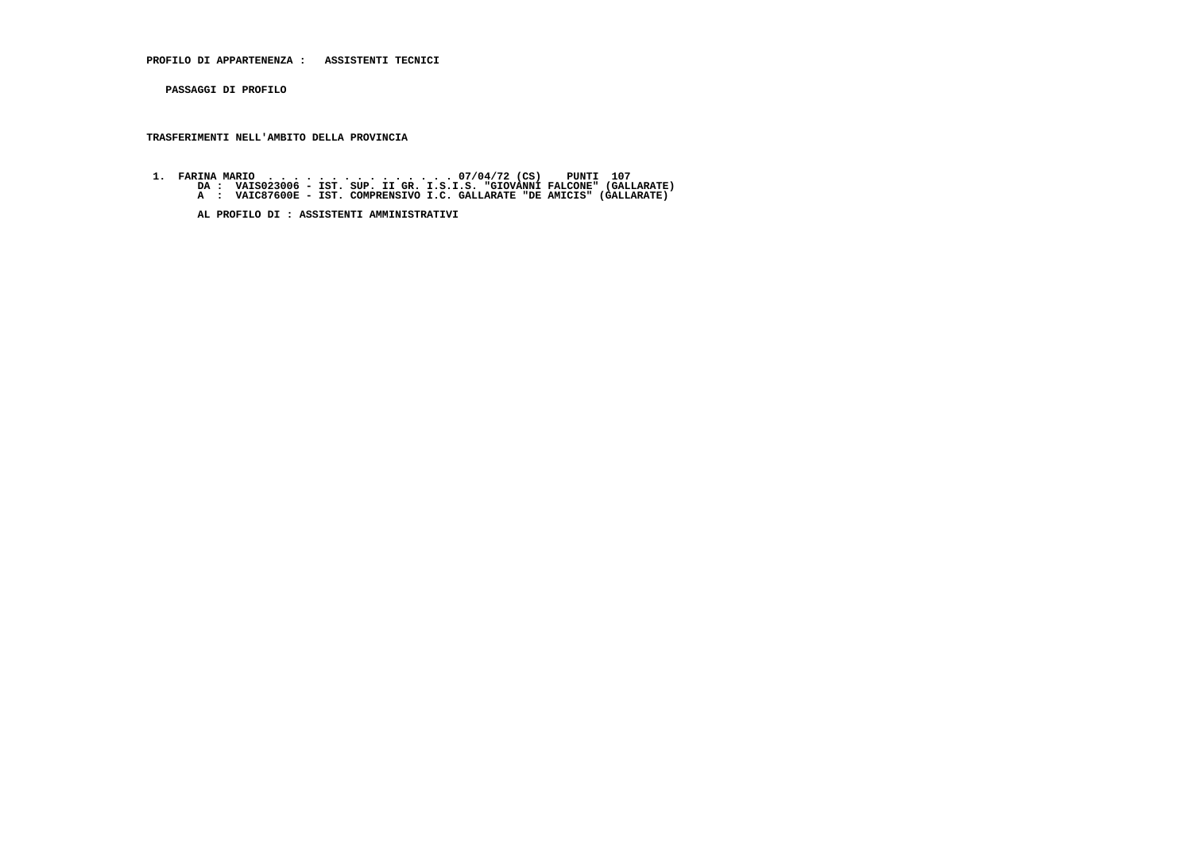**PROFILO DI APPARTENENZA : ASSISTENTI TECNICI**

 **PASSAGGI DI PROFILO**

## **TRASFERIMENTI NELL'AMBITO DELLA PROVINCIA**

 **1. FARINA MARIO . . . . . . . . . . . . . . . 07/04/72 (CS) PUNTI 107 DA : VAIS023006 - IST. SUP. II GR. I.S.I.S. "GIOVANNI FALCONE" (GALLARATE) A : VAIC87600E - IST. COMPRENSIVO I.C. GALLARATE "DE AMICIS" (GALLARATE)**

 **AL PROFILO DI : ASSISTENTI AMMINISTRATIVI**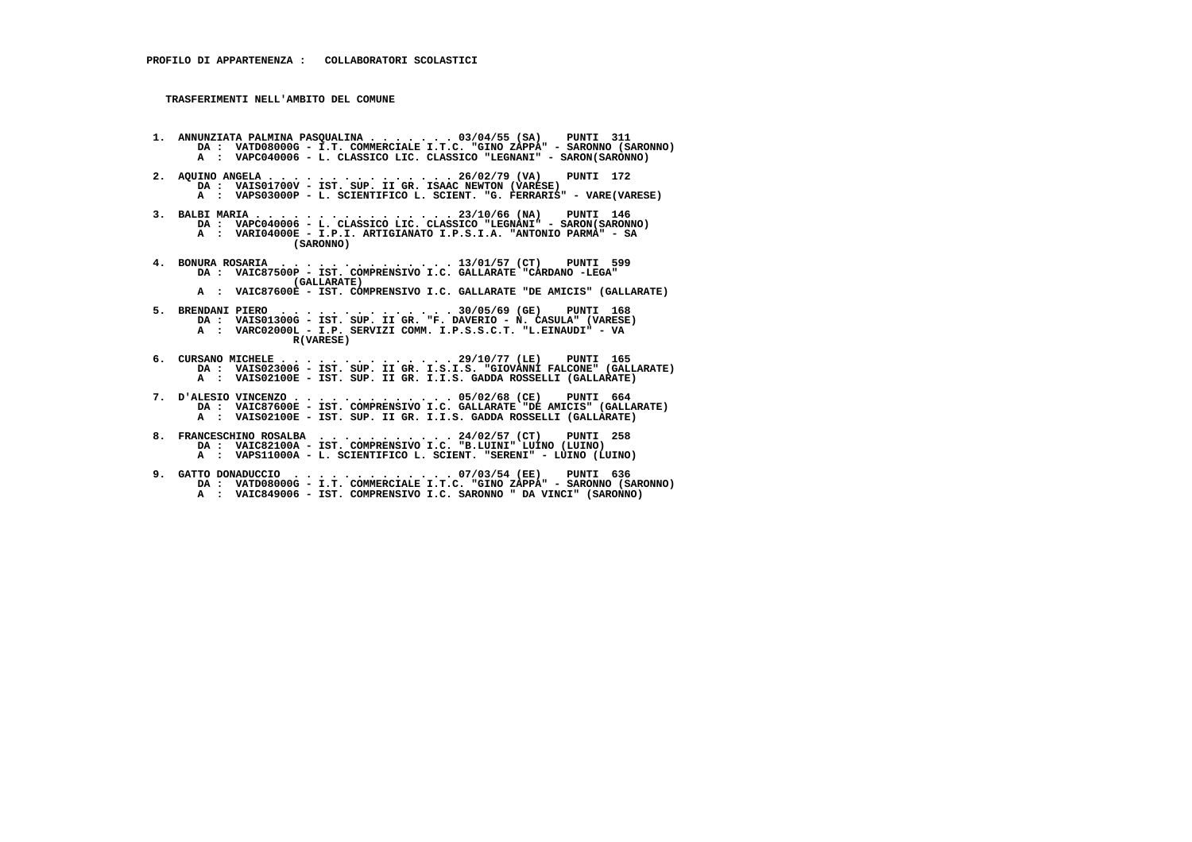- **1. ANNUNZIATA PALMINA PASQUALINA . . . . . . . 03/04/55 (SA) PUNTI 311 DA : VATD08000G I.T. COMMERCIALE I.T.C. "GINO ZAPPA" SARONNO (SARONNO) A : VAPC040006 - L. CLASSICO LIC. CLASSICO "LEGNANI" - SARON(SARONNO)**
- **2. AQUINO ANGELA . . . . . . . . . . . . . . . 26/02/79 (VA) PUNTI 172 DA : VAIS01700V - IST. SUP. II GR. ISAAC NEWTON (VARESE) A : VAPS03000P - L. SCIENTIFICO L. SCIENT. "G. FERRARIS" - VARE(VARESE)**
- **3. BALBI MARIA . . . . . . . . . . . . . . . . 23/10/66 (NA) PUNTI 146 DA : VAPC040006 L. CLASSICO LIC. CLASSICO "LEGNANI" SARON(SARONNO) A : VARI04000E - I.P.I. ARTIGIANATO I.P.S.I.A. "ANTONIO PARMA" - SA (SARONNO)**
- **4. BONURA ROSARIA . . . . . . . . . . . . . . 13/01/57 (CT) PUNTI 599 DA : VAIC87500P IST. COMPRENSIVO I.C. GALLARATE "CARDANO -LEGA" (GALLARATE)**
- **A : VAIC87600E IST. COMPRENSIVO I.C. GALLARATE "DE AMICIS" (GALLARATE)**
- **5. BRENDANI PIERO . . . . . . . . . . . . . . 30/05/69 (GE) PUNTI 168 DA : VAIS01300G IST. SUP. II GR. "F. DAVERIO N. CASULA" (VARESE) A : VARC02000L - I.P. SERVIZI COMM. I.P.S.S.C.T. "L.EINAUDI" - VA R(VARESE)**
- **6. CURSANO MICHELE . . . . . . . . . . . . . . 29/10/77 (LE) PUNTI 165 DA : VAIS023006 IST. SUP. II GR. I.S.I.S. "GIOVANNI FALCONE" (GALLARATE) A : VAIS02100E - IST. SUP. II GR. I.I.S. GADDA ROSSELLI (GALLARATE)**
- **7. D'ALESIO VINCENZO . . . . . . . . . . . . . 05/02/68 (CE) PUNTI 664 DA : VAIC87600E IST. COMPRENSIVO I.C. GALLARATE "DE AMICIS" (GALLARATE) A : VAIS02100E - IST. SUP. II GR. I.I.S. GADDA ROSSELLI (GALLARATE)**
- **8. FRANCESCHINO ROSALBA . . . . . . . . . . . 24/02/57 (CT) PUNTI 258 DA : VAIC82100A - IST. COMPRENSIVO I.C. "B.LUINI" LUINO (LUINO) A : VAPS11000A - L. SCIENTIFICO L. SCIENT. "SERENI" - LUINO (LUINO)**
- **9. GATTO DONADUCCIO . . . . . . . . . . . . . 07/03/54 (EE) PUNTI 636 DA : VATD08000G I.T. COMMERCIALE I.T.C. "GINO ZAPPA" SARONNO (SARONNO) A : VAIC849006 - IST. COMPRENSIVO I.C. SARONNO " DA VINCI" (SARONNO)**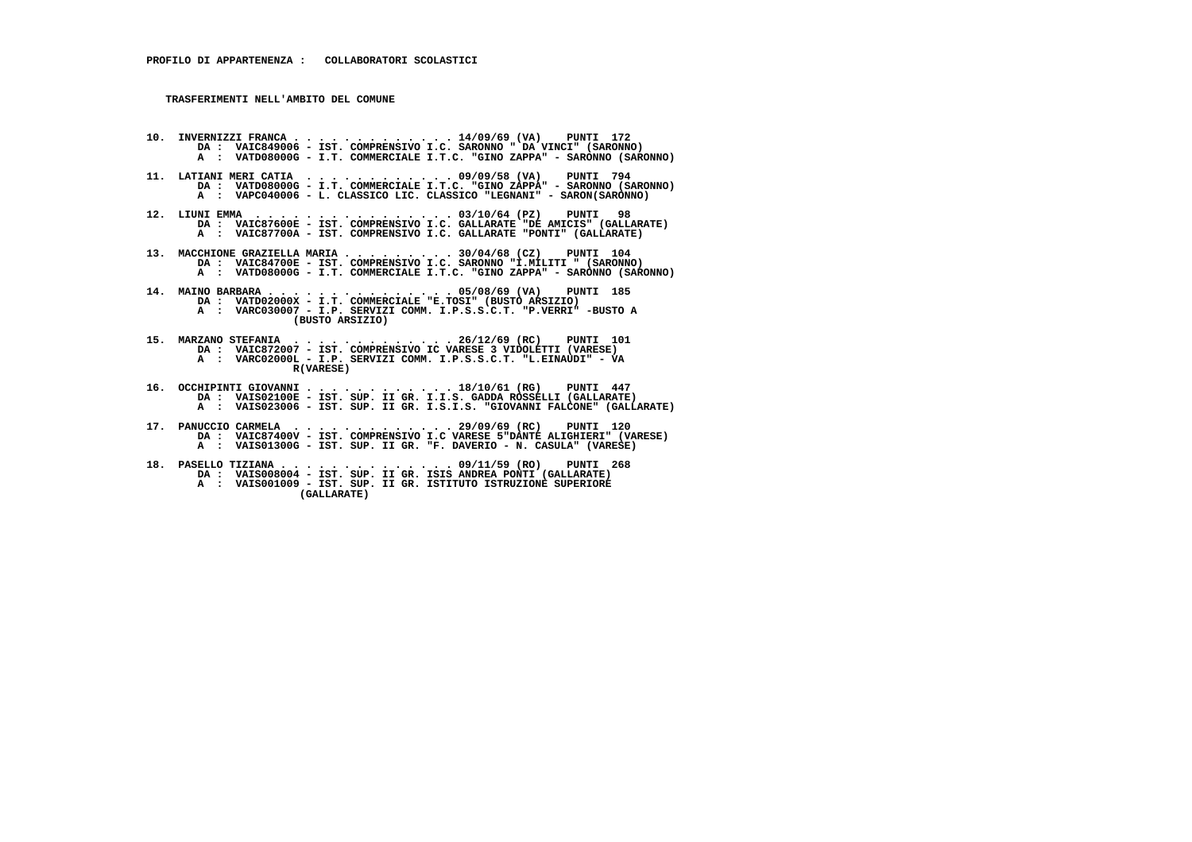**10. INVERNIZZI FRANCA . . . . . . . . . . . . . 14/09/69 (VA) PUNTI 172 DA : VAIC849006 - IST. COMPRENSIVO I.C. SARONNO " DA VINCI" (SARONNO) A : VATD08000G - I.T. COMMERCIALE I.T.C. "GINO ZAPPA" - SARONNO (SARONNO)**

- **11. LATIANI MERI CATIA . . . . . . . . . . . . 09/09/58 (VA) PUNTI 794 DA : VATD08000G - I.T. COMMERCIALE I.T.C. "GINO ZAPPA" - SARONNO (SARONNO) A : VAPC040006 - L. CLASSICO LIC. CLASSICO "LEGNANI" - SARON(SARONNO)**
- **12. LIUNI EMMA . . . . . . . . . . . . . . . . 03/10/64 (PZ) PUNTI 98 DA : VAIC87600E IST. COMPRENSIVO I.C. GALLARATE "DE AMICIS" (GALLARATE) A : VAIC87700A - IST. COMPRENSIVO I.C. GALLARATE "PONTI" (GALLARATE)**
- **13. MACCHIONE GRAZIELLA MARIA . . . . . . . . . 30/04/68 (CZ) PUNTI 104 DA : VAIC84700E IST. COMPRENSIVO I.C. SARONNO "I.MILITI " (SARONNO) A : VATD08000G - I.T. COMMERCIALE I.T.C. "GINO ZAPPA" - SARONNO (SARONNO)**
- **14. MAINO BARBARA . . . . . . . . . . . . . . . 05/08/69 (VA) PUNTI 185 DA : VATD02000X I.T. COMMERCIALE "E.TOSI" (BUSTO ARSIZIO) A : VARC030007 - I.P. SERVIZI COMM. I.P.S.S.C.T. "P.VERRI" -BUSTO A (BUSTO ARSIZIO)**
- **15. MARZANO STEFANIA . . . . . . . . . . . . . 26/12/69 (RC) PUNTI 101 DA : VAIC872007 IST. COMPRENSIVO IC VARESE 3 VIDOLETTI (VARESE) A : VARC02000L - I.P. SERVIZI COMM. I.P.S.S.C.T. "L.EINAUDI" - VA R(VARESE)**
- **16. OCCHIPINTI GIOVANNI . . . . . . . . . . . . 18/10/61 (RG) PUNTI 447 DA : VAIS02100E IST. SUP. II GR. I.I.S. GADDA ROSSELLI (GALLARATE) A : VAIS023006 - IST. SUP. II GR. I.S.I.S. "GIOVANNI FALCONE" (GALLARATE)**
- **17. PANUCCIO CARMELA . . . . . . . . . . . . . 29/09/69 (RC) PUNTI 120 DA : VAIC87400V IST. COMPRENSIVO I.C VARESE 5"DANTE ALIGHIERI" (VARESE) A : VAIS01300G - IST. SUP. II GR. "F. DAVERIO - N. CASULA" (VARESE)**
- **18. PASELLO TIZIANA . . . . . . . . . . . . . . 09/11/59 (RO) PUNTI 268 DA : VAIS008004 - IST. SUP. II GR. ISIS ANDREA PONTI (GALLARATE) A : VAIS001009 - IST. SUP. II GR. ISTITUTO ISTRUZIONE SUPERIORE (GALLARATE)**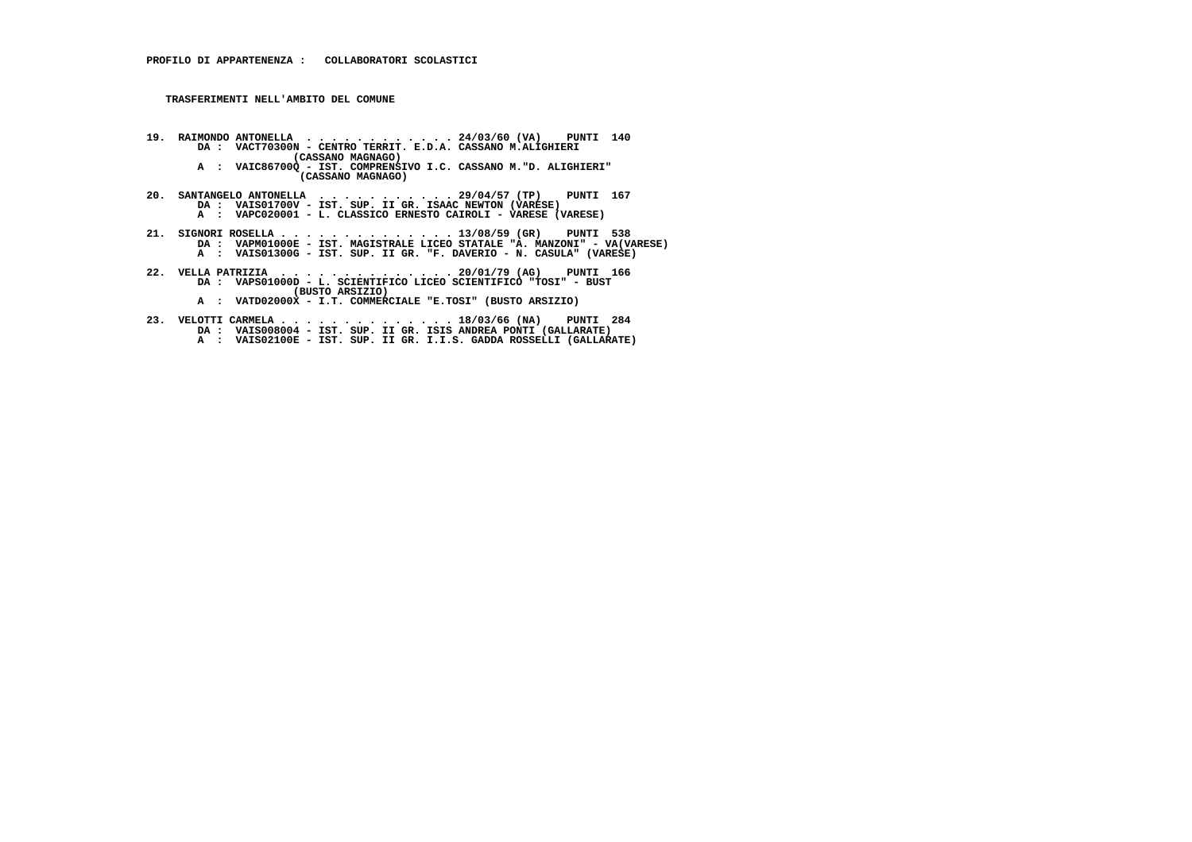- **19. RAIMONDO ANTONELLA . . . . . . . . . . . . 24/03/60 (VA) PUNTI 140 DA : VACT70300N CENTRO TERRIT. E.D.A. CASSANO M.ALIGHIERI (CASSANO MAGNAGO) A : VAIC86700Q - IST. COMPRENSIVO I.C. CASSANO M."D. ALIGHIERI" (CASSANO MAGNAGO)**
- **20. SANTANGELO ANTONELLA . . . . . . . . . . . 29/04/57 (TP) PUNTI 167 DA : VAIS01700V IST. SUP. II GR. ISAAC NEWTON (VARESE) A : VAPC020001 L. CLASSICO ERNESTO CAIROLI VARESE (VARESE)**
- 21. SIGNORI ROSELLA . . . . . . . . . . . . . 13/08/59 (GR) PUNTI 538<br>DA : VAPMO1000E IST. MAGISTRALE LICEO STATALE "A. MANZONI" VA(VARESE)<br>A : VAISO1300G IST. SUP. II GR. "F. DAVERIO N. CASULA" (VARESE)
- **22. VELLA PATRIZIA . . . . . . . . . . . . . . 20/01/79 (AG) PUNTI 166 DA : VAPS01000D L. SCIENTIFICO LICEO SCIENTIFICO "TOSI" BUST (BUSTO ARSIZIO)**
- **A : VATD02000X I.T. COMMERCIALE "E.TOSI" (BUSTO ARSIZIO)**
- **23. VELOTTI CARMELA . . . . . . . . . . . . . . 18/03/66 (NA) PUNTI 284 DA : VAIS008004 IST. SUP. II GR. ISIS ANDREA PONTI (GALLARATE) A : VAIS02100E - IST. SUP. II GR. I.I.S. GADDA ROSSELLI (GALLARATE)**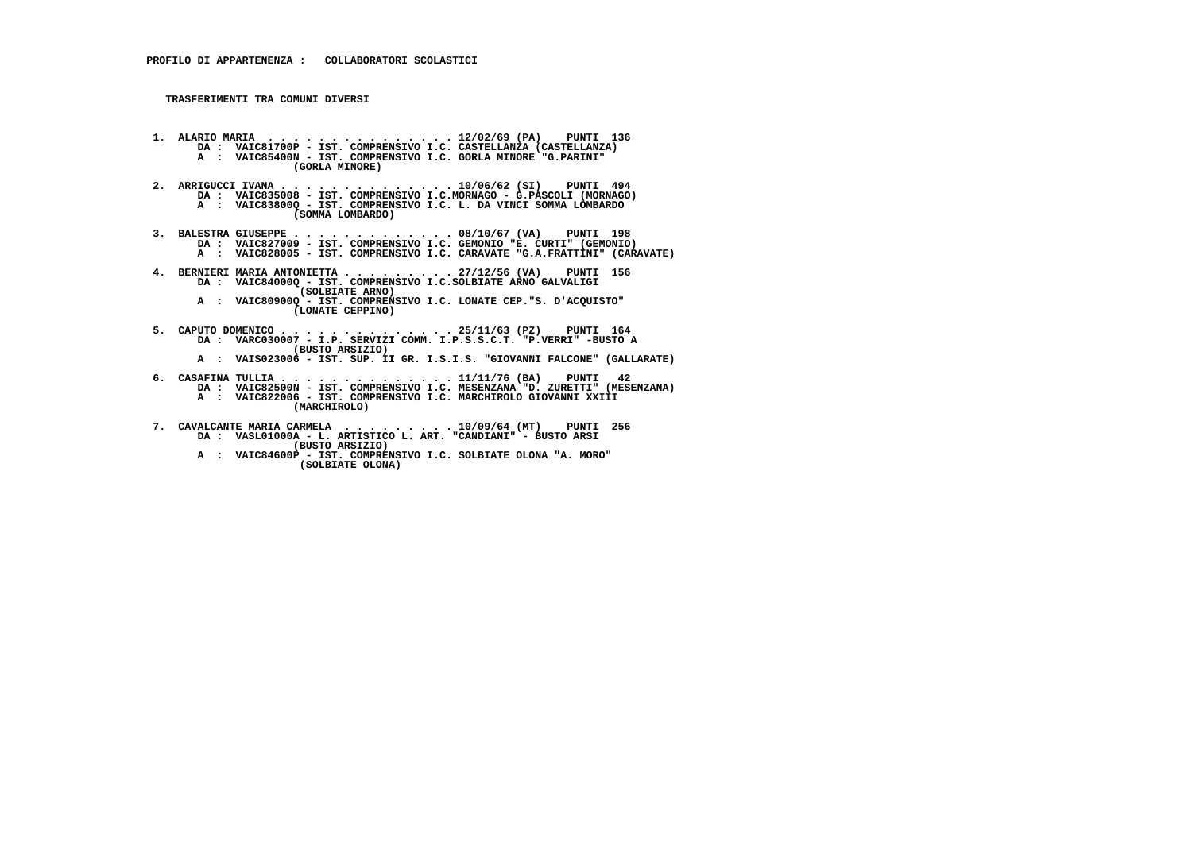- **1. ALARIO MARIA . . . . . . . . . . . . . . . 12/02/69 (PA) PUNTI 136 DA : VAIC81700P IST. COMPRENSIVO I.C. CASTELLANZA (CASTELLANZA) A : VAIC85400N - IST. COMPRENSIVO I.C. GORLA MINORE "G.PARINI" (GORLA MINORE)**
- **2. ARRIGUCCI IVANA . . . . . . . . . . . . . . 10/06/62 (SI) PUNTI 494 DA : VAIC835008 IST. COMPRENSIVO I.C.MORNAGO G.PASCOLI (MORNAGO) A : VAIC83800Q - IST. COMPRENSIVO I.C. L. DA VINCI SOMMA LOMBARDO (SOMMA LOMBARDO)**
- **3. BALESTRA GIUSEPPE . . . . . . . . . . . . . 08/10/67 (VA) PUNTI 198 DA : VAIC827009 IST. COMPRENSIVO I.C. GEMONIO "E. CURTI" (GEMONIO) A : VAIC828005 IST. COMPRENSIVO I.C. CARAVATE "G.A.FRATTINI" (CARAVATE)**
- **4. BERNIERI MARIA ANTONIETTA . . . . . . . . . 27/12/56 (VA) PUNTI 156 DA : VAIC84000Q IST. COMPRENSIVO I.C.SOLBIATE ARNO GALVALIGI (SOLBIATE ARNO) A : VAIC80900Q - IST. COMPRENSIVO I.C. LONATE CEP."S. D'ACQUISTO"**
	- **(LONATE CEPPINO)**
- **5. CAPUTO DOMENICO . . . . . . . . . . . . . . 25/11/63 (PZ) PUNTI 164 DA : VARC030007 I.P. SERVIZI COMM. I.P.S.S.C.T. "P.VERRI" -BUSTO A (BUSTO ARSIZIO)**
- **A : VAIS023006 IST. SUP. II GR. I.S.I.S. "GIOVANNI FALCONE" (GALLARATE)**
	-
- **6. CASAFINA TULLIA . . . . . . . . . . . . . . 11/11/76 (BA) PUNTI 42 DA : VAIC82500N IST. COMPRENSIVO I.C. MESENZANA "D. ZURETTI" (MESENZANA) A : VAIC822006 - IST. COMPRENSIVO I.C. MARCHIROLO GIOVANNI XXIII**
	- **(MARCHIROLO)**
- **7. CAVALCANTE MARIA CARMELA . . . . . . . . . 10/09/64 (MT) PUNTI 256 DA : VASL01000A L. ARTISTICO L. ART. "CANDIANI" BUSTO ARSI (BUSTO ARSIZIO)**
- **A : VAIC84600P IST. COMPRENSIVO I.C. SOLBIATE OLONA "A. MORO" (SOLBIATE OLONA)**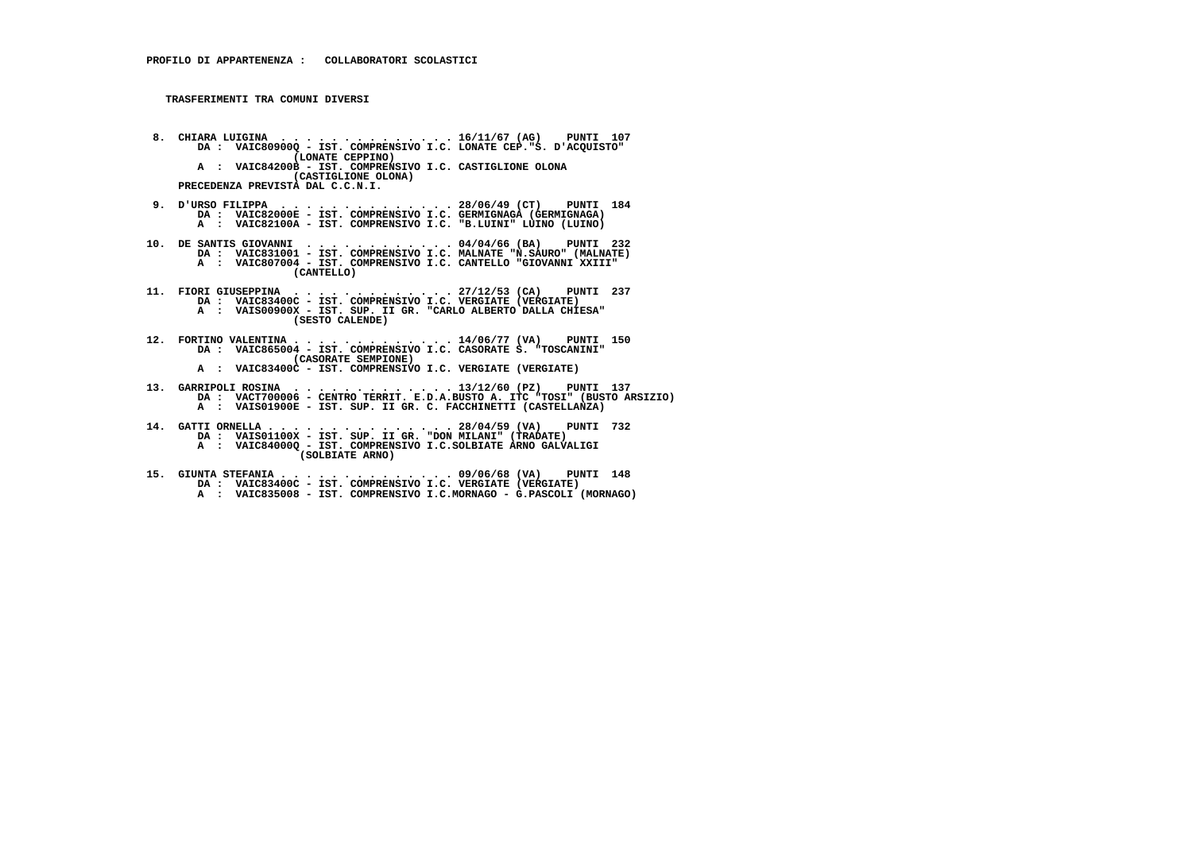**8. CHIARA LUIGINA . . . . . . . . . . . . . . 16/11/67 (AG) PUNTI 107 DA : VAIC80900Q - IST. COMPRENSIVO I.C. LONATE CEP."S. D'ACQUISTO" (LONATE CEPPINO) A : VAIC84200B - IST. COMPRENSIVO I.C. CASTIGLIONE OLONA (CASTIGLIONE OLONA) PRECEDENZA PREVISTA DAL C.C.N.I.**

- **9. D'URSO FILIPPA . . . . . . . . . . . . . . 28/06/49 (CT) PUNTI 184 DA : VAIC82000E IST. COMPRENSIVO I.C. GERMIGNAGA (GERMIGNAGA) A : VAIC82100A - IST. COMPRENSIVO I.C. "B.LUINI" LUINO (LUINO)**
- **10. DE SANTIS GIOVANNI . . . . . . . . . . . . 04/04/66 (BA) PUNTI 232 DA : VAIC831001 IST. COMPRENSIVO I.C. MALNATE "N.SAURO" (MALNATE) A : VAIC807004 - IST. COMPRENSIVO I.C. CANTELLO "GIOVANNI XXIII" (CANTELLO)**
- **11. FIORI GIUSEPPINA . . . . . . . . . . . . . 27/12/53 (CA) PUNTI 237 DA : VAIC83400C IST. COMPRENSIVO I.C. VERGIATE (VERGIATE) A : VAIS00900X - IST. SUP. II GR. "CARLO ALBERTO DALLA CHIESA" (SESTO CALENDE)**
- **12. FORTINO VALENTINA . . . . . . . . . . . . . 14/06/77 (VA) PUNTI 150 DA : VAIC865004 IST. COMPRENSIVO I.C. CASORATE S. "TOSCANINI" (CASORATE SEMPIONE)**
- **A : VAIC83400C IST. COMPRENSIVO I.C. VERGIATE (VERGIATE)**
- **13. GARRIPOLI ROSINA . . . . . . . . . . . . . 13/12/60 (PZ) PUNTI 137 DA : VACT700006 CENTRO TERRIT. E.D.A.BUSTO A. ITC "TOSI" (BUSTO ARSIZIO) A : VAIS01900E - IST. SUP. II GR. C. FACCHINETTI (CASTELLANZA)**
- **14. GATTI ORNELLA . . . . . . . . . . . . . . . 28/04/59 (VA) PUNTI 732 DA : VAIS01100X IST. SUP. II GR. "DON MILANI" (TRADATE) A : VAIC84000Q - IST. COMPRENSIVO I.C.SOLBIATE ARNO GALVALIGI (SOLBIATE ARNO)**
- **15. GIUNTA STEFANIA . . . . . . . . . . . . . . 09/06/68 (VA) PUNTI 148 DA : VAIC83400C IST. COMPRENSIVO I.C. VERGIATE (VERGIATE)**
- **A : VAIC835008 IST. COMPRENSIVO I.C.MORNAGO G.PASCOLI (MORNAGO)**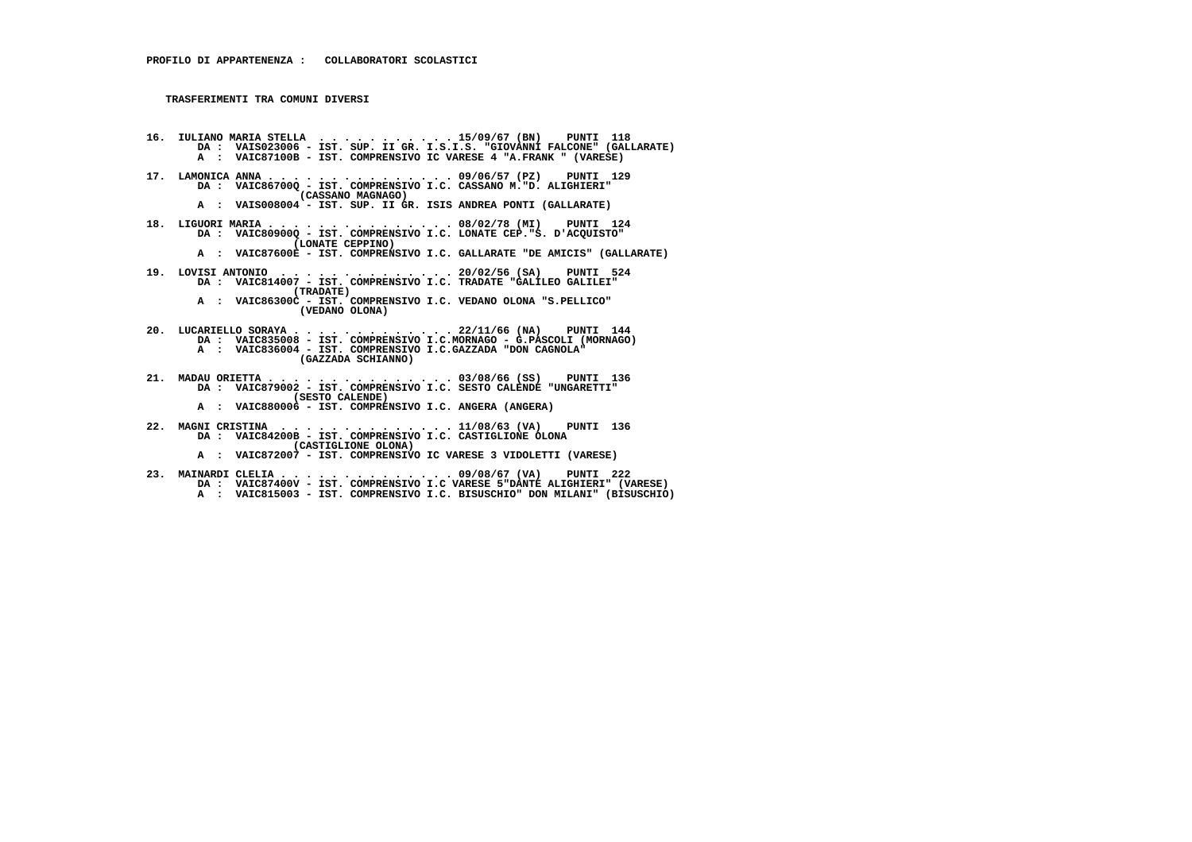- **16. IULIANO MARIA STELLA . . . . . . . . . . . 15/09/67 (BN) PUNTI 118 DA : VAIS023006 IST. SUP. II GR. I.S.I.S. "GIOVANNI FALCONE" (GALLARATE) A : VAIC87100B - IST. COMPRENSIVO IC VARESE 4 "A.FRANK " (VARESE)**
	- **17. LAMONICA ANNA . . . . . . . . . . . . . . . 09/06/57 (PZ) PUNTI 129 DA : VAIC86700Q - IST. COMPRENSIVO I.C. CASSANO M."D. ALIGHIERI" (CASSANO MAGNAGO)**
- **A : VAIS008004 IST. SUP. II GR. ISIS ANDREA PONTI (GALLARATE)**
- **18. LIGUORI MARIA . . . . . . . . . . . . . . . 08/02/78 (MI) PUNTI 124 DA : VAIC80900Q IST. COMPRENSIVO I.C. LONATE CEP."S. D'ACQUISTO" (LONATE CEPPINO)**
- **A : VAIC87600E IST. COMPRENSIVO I.C. GALLARATE "DE AMICIS" (GALLARATE)**
- **19. LOVISI ANTONIO . . . . . . . . . . . . . . 20/02/56 (SA) PUNTI 524 DA : VAIC814007 IST. COMPRENSIVO I.C. TRADATE "GALILEO GALILEI" (TRADATE) A : VAIC86300C - IST. COMPRENSIVO I.C. VEDANO OLONA "S.PELLICO" (VEDANO OLONA)**
- **20. LUCARIELLO SORAYA . . . . . . . . . . . . . 22/11/66 (NA) PUNTI 144 DA : VAIC835008 IST. COMPRENSIVO I.C.MORNAGO G.PASCOLI (MORNAGO) A : VAIC836004 - IST. COMPRENSIVO I.C.GAZZADA "DON CAGNOLA" (GAZZADA SCHIANNO)**
- **21. MADAU ORIETTA . . . . . . . . . . . . . . . 03/08/66 (SS) PUNTI 136 DA : VAIC879002 IST. COMPRENSIVO I.C. SESTO CALENDE "UNGARETTI" (SESTO CALENDE)**
- **A : VAIC880006 IST. COMPRENSIVO I.C. ANGERA (ANGERA)**
- **22. MAGNI CRISTINA . . . . . . . . . . . . . . 11/08/63 (VA) PUNTI 136 DA : VAIC84200B IST. COMPRENSIVO I.C. CASTIGLIONE OLONA (CASTIGLIONE OLONA)**
- **A : VAIC872007 IST. COMPRENSIVO IC VARESE 3 VIDOLETTI (VARESE)**
- **23. MAINARDI CLELIA . . . . . . . . . . . . . . 09/08/67 (VA) PUNTI 222 DA : VAIC87400V IST. COMPRENSIVO I.C VARESE 5"DANTE ALIGHIERI" (VARESE) A : VAIC815003 - IST. COMPRENSIVO I.C. BISUSCHIO" DON MILANI" (BISUSCHIO)**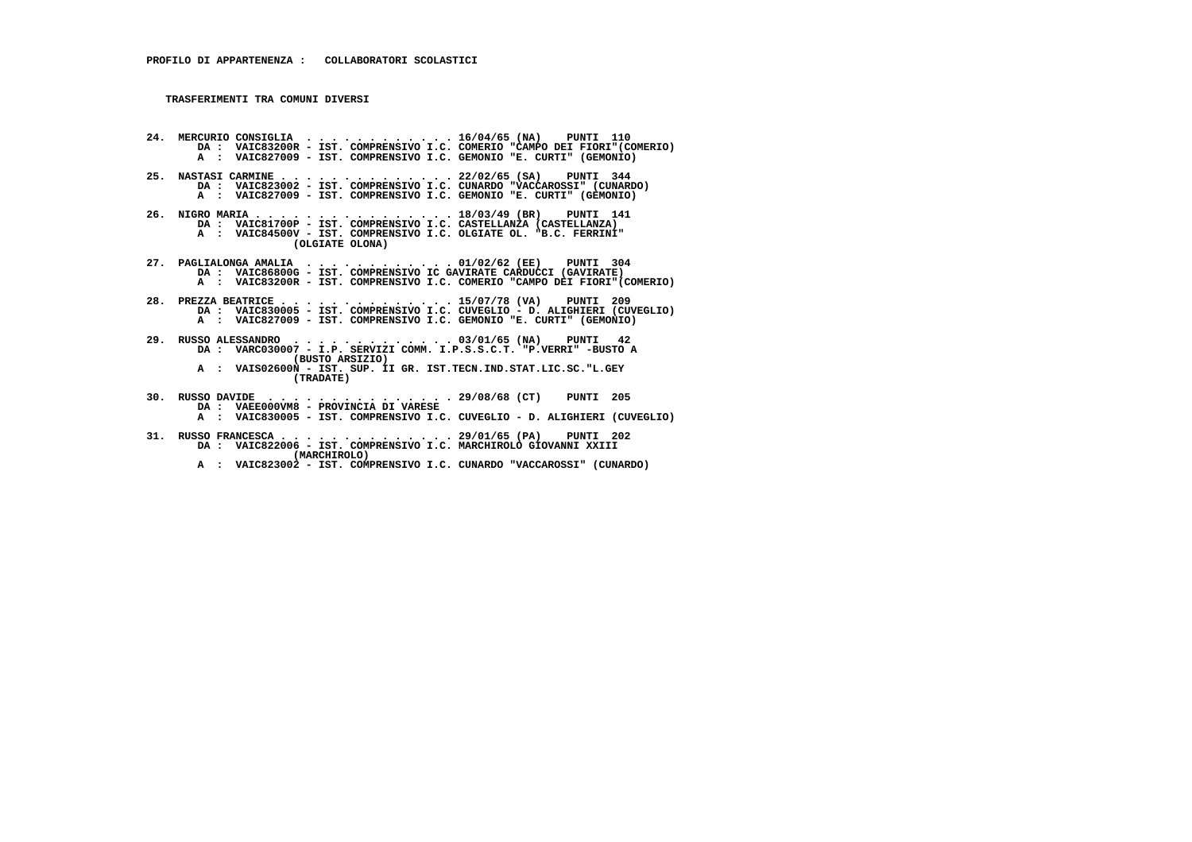**24. MERCURIO CONSIGLIA . . . . . . . . . . . . 16/04/65 (NA) PUNTI 110 DA : VAIC83200R - IST. COMPRENSIVO I.C. COMERIO "CAMPO DEI FIORI"(COMERIO) A : VAIC827009 - IST. COMPRENSIVO I.C. GEMONIO "E. CURTI" (GEMONIO) 25. NASTASI CARMINE . . . . . . . . . . . . . . 22/02/65 (SA) PUNTI 344 DA : VAIC823002 - IST. COMPRENSIVO I.C. CUNARDO "VACCAROSSI" (CUNARDO) A : VAIC827009 - IST. COMPRENSIVO I.C. GEMONIO "E. CURTI" (GEMONIO) 26. NIGRO MARIA . . . . . . . . . . . . . . . . 18/03/49 (BR) PUNTI 141 DA : VAIC81700P - IST. COMPRENSIVO I.C. CASTELLANZA (CASTELLANZA) A : VAIC84500V - IST. COMPRENSIVO I.C. OLGIATE OL. "B.C. FERRINI" (OLGIATE OLONA) 27. PAGLIALONGA AMALIA . . . . . . . . . . . . 01/02/62 (EE) PUNTI 304 DA : VAIC86800G - IST. COMPRENSIVO IC GAVIRATE CARDUCCI (GAVIRATE) A : VAIC83200R - IST. COMPRENSIVO I.C. COMERIO "CAMPO DEI FIORI"(COMERIO) 28. PREZZA BEATRICE . . . . . . . . . . . . . . 15/07/78 (VA) PUNTI 209 DA : VAIC830005 - IST. COMPRENSIVO I.C. CUVEGLIO - D. ALIGHIERI (CUVEGLIO) A : VAIC827009 - IST. COMPRENSIVO I.C. GEMONIO "E. CURTI" (GEMONIO) 29. RUSSO ALESSANDRO . . . . . . . . . . . . . 03/01/65 (NA) PUNTI 42 DA : VARC030007 - I.P. SERVIZI COMM. I.P.S.S.C.T. "P.VERRI" -BUSTO A (BUSTO ARSIZIO) A : VAIS02600N - IST. SUP. II GR. IST.TECN.IND.STAT.LIC.SC."L.GEY (TRADATE) 30. RUSSO DAVIDE . . . . . . . . . . . . . . . 29/08/68 (CT) PUNTI 205 DA : VAEE000VM8 - PROVINCIA DI VARESE A : VAIC830005 - IST. COMPRENSIVO I.C. CUVEGLIO - D. ALIGHIERI (CUVEGLIO) 31. RUSSO FRANCESCA . . . . . . . . . . . . . . 29/01/65 (PA) PUNTI 202**

 **DA : VAIC822006 - IST. COMPRENSIVO I.C. MARCHIROLO GIOVANNI XXIII (MARCHIROLO)**

 **A : VAIC823002 - IST. COMPRENSIVO I.C. CUNARDO "VACCAROSSI" (CUNARDO)**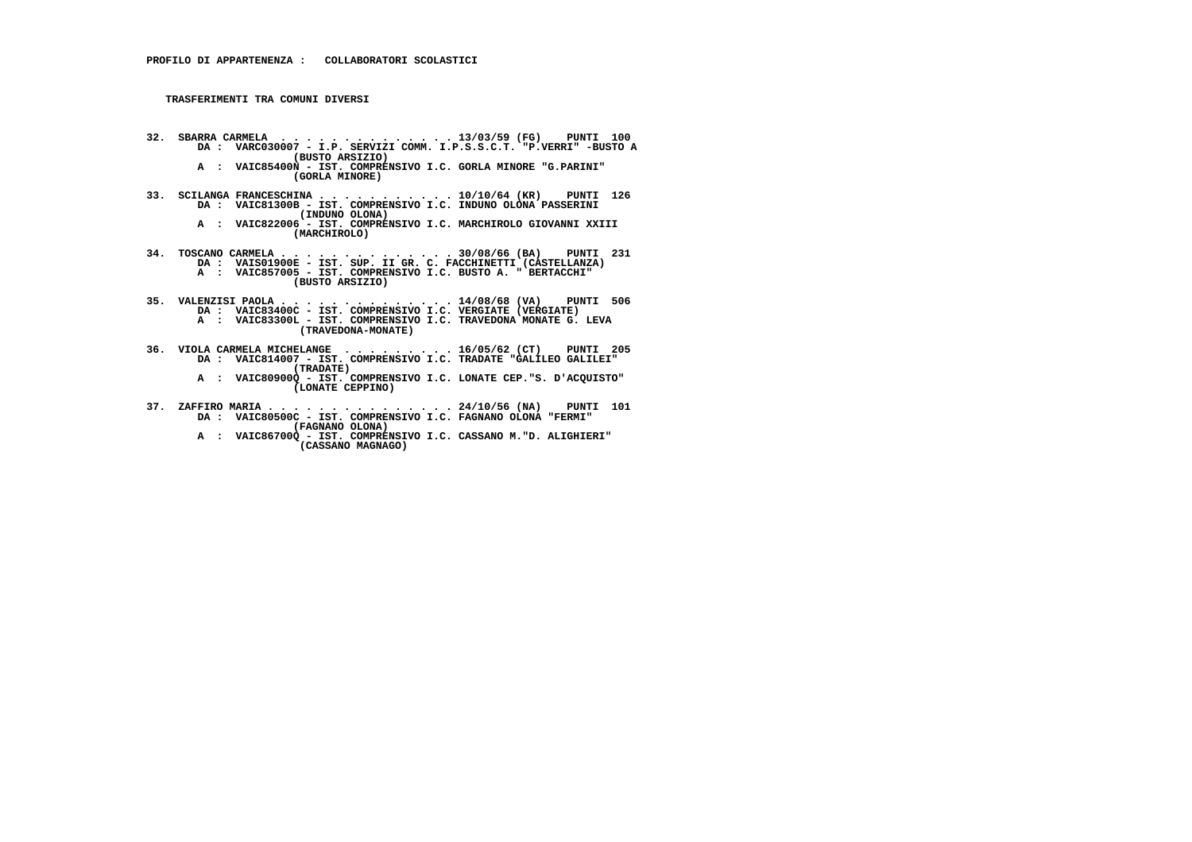- **32. SBARRA CARMELA . . . . . . . . . . . . . . 13/03/59 (FG) PUNTI 100 DA : VARC030007 I.P. SERVIZI COMM. I.P.S.S.C.T. "P.VERRI" -BUSTO A (BUSTO ARSIZIO)**
- **A : VAIC85400N IST. COMPRENSIVO I.C. GORLA MINORE "G.PARINI" (GORLA MINORE)**
- **33. SCILANGA FRANCESCHINA . . . . . . . . . . . 10/10/64 (KR) PUNTI 126 DA : VAIC81300B IST. COMPRENSIVO I.C. INDUNO OLONA PASSERINI (INDUNO OLONA)**
- **A : VAIC822006 IST. COMPRENSIVO I.C. MARCHIROLO GIOVANNI XXIII (MARCHIROLO)**
- **34. TOSCANO CARMELA . . . . . . . . . . . . . . 30/08/66 (BA) PUNTI 231 DA : VAIS01900E IST. SUP. II GR. C. FACCHINETTI (CASTELLANZA) A : VAIC857005 - IST. COMPRENSIVO I.C. BUSTO A. " BERTACCHI" (BUSTO ARSIZIO)**
- **35. VALENZISI PAOLA . . . . . . . . . . . . . . 14/08/68 (VA) PUNTI 506 DA : VAIC83400C - IST. COMPRENSIVO I.C. VERGIATE (VERGIATE) A : VAIC83300L - IST. COMPRENSIVO I.C. TRAVEDONA MONATE G. LEVA (TRAVEDONA-MONATE)**
- **36. VIOLA CARMELA MICHELANGE . . . . . . . . . 16/05/62 (CT) PUNTI 205 DA : VAIC814007 IST. COMPRENSIVO I.C. TRADATE "GALILEO GALILEI" (TRADATE)**
- **A : VAIC80900Q IST. COMPRENSIVO I.C. LONATE CEP."S. D'ACQUISTO" (LONATE CEPPINO)**
- **37. ZAFFIRO MARIA . . . . . . . . . . . . . . . 24/10/56 (NA) PUNTI 101 DA : VAIC80500C IST. COMPRENSIVO I.C. FAGNANO OLONA "FERMI" (FAGNANO OLONA)**
- **A : VAIC86700Q IST. COMPRENSIVO I.C. CASSANO M."D. ALIGHIERI" (CASSANO MAGNAGO)**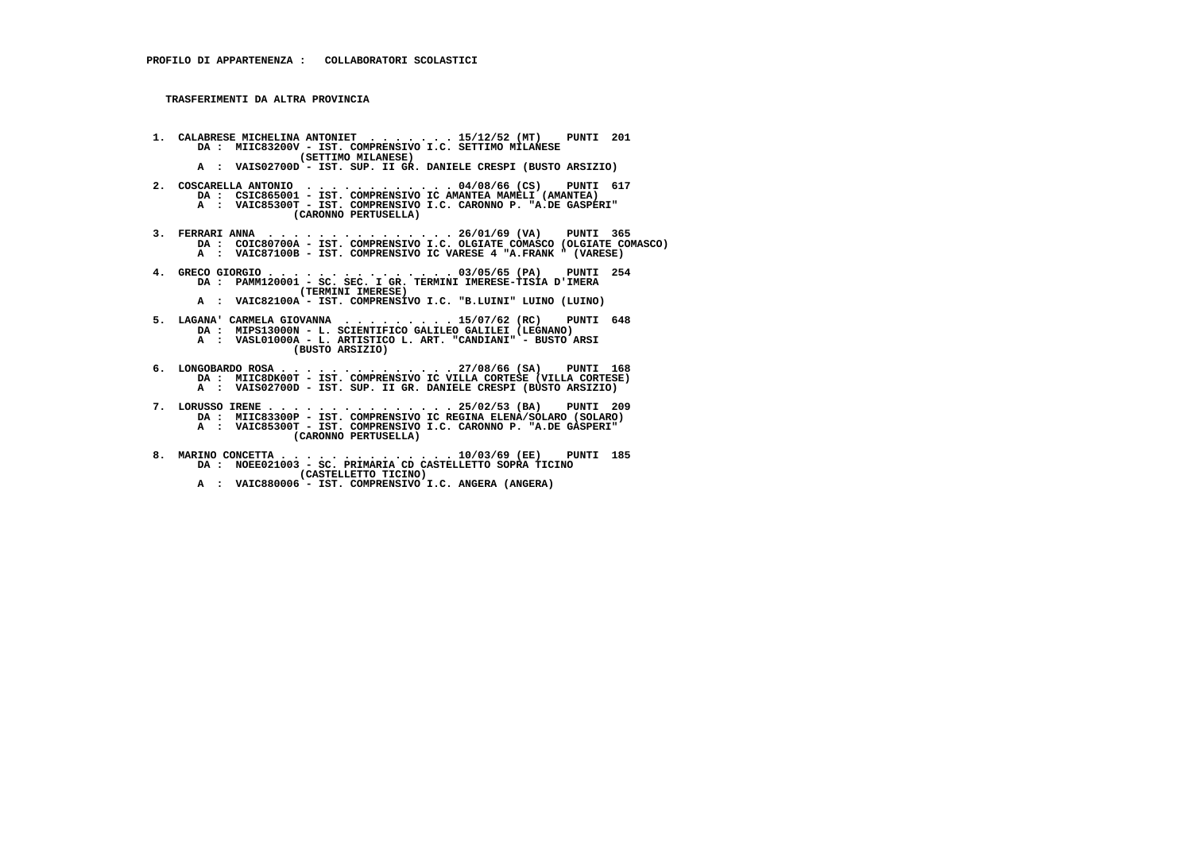**TRASFERIMENTI DA ALTRA PROVINCIA**

- **1. CALABRESE MICHELINA ANTONIET . . . . . . . 15/12/52 (MT) PUNTI 201 DA : MIIC83200V IST. COMPRENSIVO I.C. SETTIMO MILANESE (SETTIMO MILANESE)**
- **A : VAIS02700D IST. SUP. II GR. DANIELE CRESPI (BUSTO ARSIZIO)**
- **2. COSCARELLA ANTONIO . . . . . . . . . . . . 04/08/66 (CS) PUNTI 617 DA : CSIC865001 IST. COMPRENSIVO IC AMANTEA MAMELI (AMANTEA) A : VAIC85300T - IST. COMPRENSIVO I.C. CARONNO P. "A.DE GASPERI" (CARONNO PERTUSELLA)**
- **3. FERRARI ANNA . . . . . . . . . . . . . . . 26/01/69 (VA) PUNTI 365 DA : COIC80700A IST. COMPRENSIVO I.C. OLGIATE COMASCO (OLGIATE COMASCO) A : VAIC87100B IST. COMPRENSIVO IC VARESE 4 "A.FRANK " (VARESE)**
- **4. GRECO GIORGIO . . . . . . . . . . . . . . . 03/05/65 (PA) PUNTI 254 DA : PAMM120001 SC. SEC. I GR. TERMINI IMERESE-TISIA D'IMERA (TERMINI IMERESE) A : VAIC82100A - IST. COMPRENSIVO I.C. "B.LUINI" LUINO (LUINO)**
- **5. LAGANA' CARMELA GIOVANNA . . . . . . . . . 15/07/62 (RC) PUNTI 648 DA : MIPS13000N L. SCIENTIFICO GALILEO GALILEI (LEGNANO) A : VASL01000A - L. ARTISTICO L. ART. "CANDIANI" - BUSTO ARSI (BUSTO ARSIZIO)**
- **6. LONGOBARDO ROSA . . . . . . . . . . . . . . 27/08/66 (SA) PUNTI 168 DA : MIIC8DK00T IST. COMPRENSIVO IC VILLA CORTESE (VILLA CORTESE) A : VAIS02700D - IST. SUP. II GR. DANIELE CRESPI (BUSTO ARSIZIO)**
- **7. LORUSSO IRENE . . . . . . . . . . . . . . . 25/02/53 (BA) PUNTI 209 DA : MIIC83300P IST. COMPRENSIVO IC REGINA ELENA/SOLARO (SOLARO) A : VAIC85300T - IST. COMPRENSIVO I.C. CARONNO P. "A.DE GASPERI" (CARONNO PERTUSELLA)**
- **8. MARINO CONCETTA . . . . . . . . . . . . . . 10/03/69 (EE) PUNTI 185 DA : NOEE021003 SC. PRIMARIA CD CASTELLETTO SOPRA TICINO (CASTELLETTO TICINO)**
- **A : VAIC880006 IST. COMPRENSIVO I.C. ANGERA (ANGERA)**